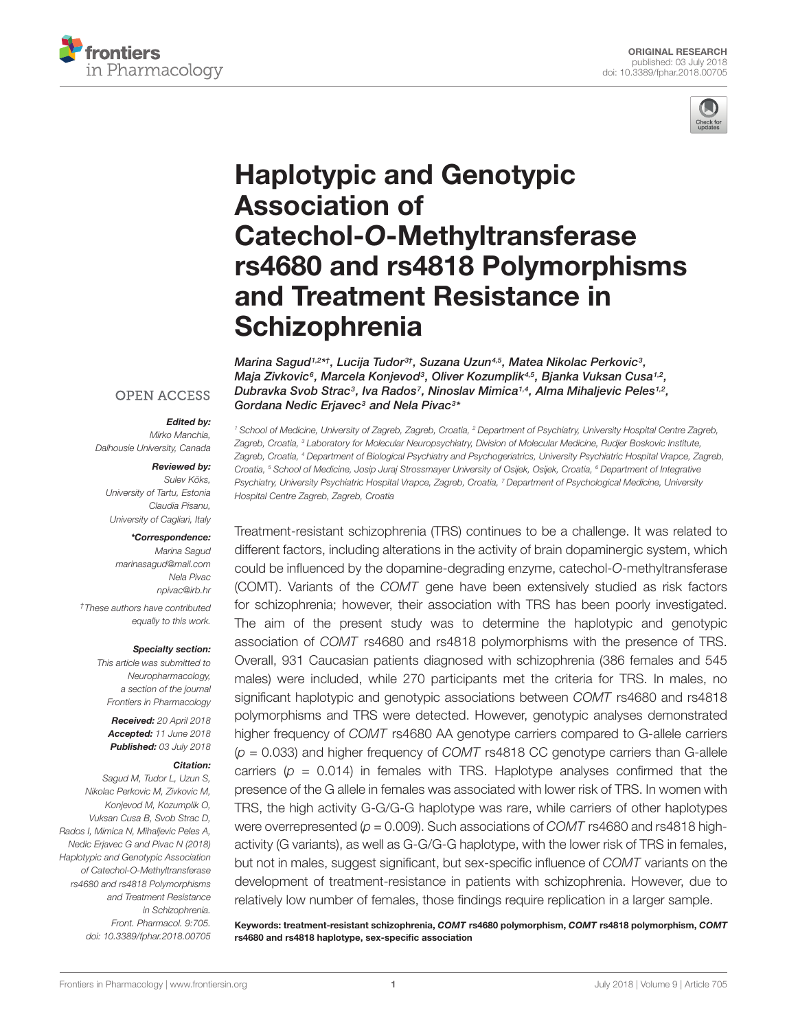



# Haplotypic and Genotypic Association of Catechol-O-Methyltransferase [rs4680 and rs4818 Polymorphisms](https://www.frontiersin.org/articles/10.3389/fphar.2018.00705/full) and Treatment Resistance in **Schizophrenia**

[Marina Sagud](http://loop.frontiersin.org/people/530075/overview)1,2\*†, Lucija Tudor<sup>3†</sup>, [Suzana Uzun](http://loop.frontiersin.org/people/578913/overview)<sup>4,5</sup>, [Matea Nikolac Perkovic](http://loop.frontiersin.org/people/389399/overview)<sup>3</sup>, [Maja Zivkovic](http://loop.frontiersin.org/people/553474/overview)<sup>6</sup>, [Marcela Konjevod](http://loop.frontiersin.org/people/553458/overview)<sup>3</sup>, Oliver Kozumplik<sup>4,5</sup>, Bjanka Vuksan Cusa<sup>1,2</sup>, [Dubravka Svob Strac](http://loop.frontiersin.org/people/360595/overview)<sup>3</sup>, Iva Rados<sup>7</sup>, Ninoslav Mimica<sup>1,4</sup>, Alma Mihaljevic Peles<sup>1,2</sup>, [Gordana Nedic Erjavec](http://loop.frontiersin.org/people/553475/overview) $^3$  and [Nela Pivac](http://loop.frontiersin.org/people/428582/overview) $^{3\ast}$ 

#### **OPEN ACCESS**

#### Edited by:

Mirko Manchia, Dalhousie University, Canada

#### Reviewed by:

Sulev Kõks, University of Tartu, Estonia Claudia Pisanu, University of Cagliari, Italy

#### \*Correspondence:

Marina Sagud marinasagud@mail.com Nela Pivac npivac@irb.hr

†These authors have contributed equally to this work.

#### Specialty section:

This article was submitted to Neuropharmacology, a section of the journal Frontiers in Pharmacology

Received: 20 April 2018 Accepted: 11 June 2018 Published: 03 July 2018

#### Citation:

Sagud M, Tudor L, Uzun S, Nikolac Perkovic M, Zivkovic M, Konjevod M, Kozumplik O, Vuksan Cusa B, Svob Strac D, Rados I, Mimica N, Mihaljevic Peles A, Nedic Erjavec G and Pivac N (2018) Haplotypic and Genotypic Association of Catechol-O-Methyltransferase rs4680 and rs4818 Polymorphisms and Treatment Resistance in Schizophrenia. Front. Pharmacol. 9:705. doi: [10.3389/fphar.2018.00705](https://doi.org/10.3389/fphar.2018.00705)

<sup>1</sup> School of Medicine, University of Zagreb, Zagreb, Croatia, <sup>2</sup> Department of Psychiatry, University Hospital Centre Zagreb, Zagreb, Croatia, <sup>3</sup> Laboratory for Molecular Neuropsychiatry, Division of Molecular Medicine, Rudjer Boskovic Institute, Zagreb, Croatia, <sup>4</sup> Department of Biological Psychiatry and Psychogeriatrics, University Psychiatric Hospital Vrapce, Zagreb, Croatia, <sup>5</sup> School of Medicine, Josip Juraj Strossmayer University of Osijek, Osijek, Croatia, <sup>6</sup> Department of Integrative Psychiatry, University Psychiatric Hospital Vrapce, Zagreb, Croatia, <sup>7</sup> Department of Psychological Medicine, University Hospital Centre Zagreb, Zagreb, Croatia

Treatment-resistant schizophrenia (TRS) continues to be a challenge. It was related to different factors, including alterations in the activity of brain dopaminergic system, which could be influenced by the dopamine-degrading enzyme, catechol-O-methyltransferase (COMT). Variants of the COMT gene have been extensively studied as risk factors for schizophrenia; however, their association with TRS has been poorly investigated. The aim of the present study was to determine the haplotypic and genotypic association of COMT rs4680 and rs4818 polymorphisms with the presence of TRS. Overall, 931 Caucasian patients diagnosed with schizophrenia (386 females and 545 males) were included, while 270 participants met the criteria for TRS. In males, no significant haplotypic and genotypic associations between COMT rs4680 and rs4818 polymorphisms and TRS were detected. However, genotypic analyses demonstrated higher frequency of COMT rs4680 AA genotype carriers compared to G-allele carriers  $(p = 0.033)$  and higher frequency of COMT rs4818 CC genotype carriers than G-allele carriers ( $p = 0.014$ ) in females with TRS. Haplotype analyses confirmed that the presence of the G allele in females was associated with lower risk of TRS. In women with TRS, the high activity G-G/G-G haplotype was rare, while carriers of other haplotypes were overrepresented ( $p = 0.009$ ). Such associations of COMT rs4680 and rs4818 highactivity (G variants), as well as G-G/G-G haplotype, with the lower risk of TRS in females, but not in males, suggest significant, but sex-specific influence of COMT variants on the development of treatment-resistance in patients with schizophrenia. However, due to relatively low number of females, those findings require replication in a larger sample.

Keywords: treatment-resistant schizophrenia, COMT rs4680 polymorphism, COMT rs4818 polymorphism, COMT rs4680 and rs4818 haplotype, sex-specific association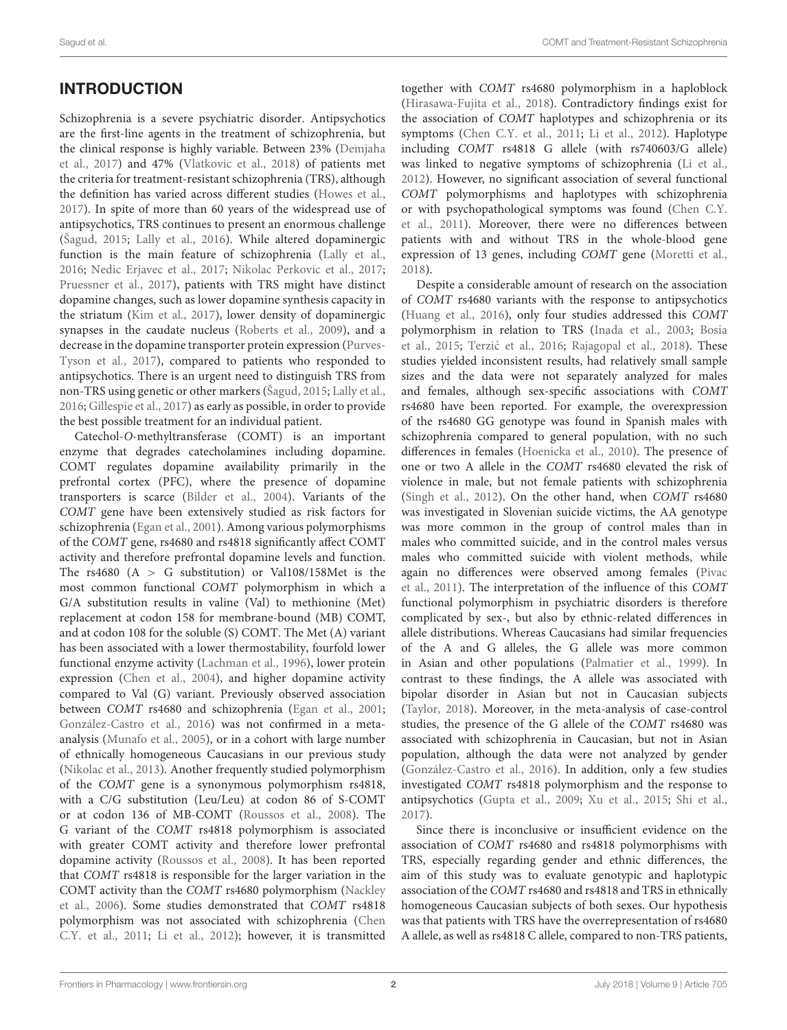# **INTRODUCTION**

Schizophrenia is a severe psychiatric disorder. Antipsychotics are the first-line agents in the treatment of schizophrenia, but the clinical response is highly variable. Between 23% [\(Demjaha](#page-11-0) [et al.,](#page-11-0) [2017\)](#page-11-0) and 47% [\(Vlatkovic et al.,](#page-13-0) [2018\)](#page-13-0) of patients met the criteria for treatment-resistant schizophrenia (TRS), although the definition has varied across different studies [\(Howes et al.,](#page-11-1) [2017\)](#page-11-1). In spite of more than 60 years of the widespread use of antipsychotics, TRS continues to present an enormous challenge [\(Šagud,](#page-13-1) [2015;](#page-13-1) [Lally et al.,](#page-12-0) [2016\)](#page-12-0). While altered dopaminergic function is the main feature of schizophrenia [\(Lally et al.,](#page-12-0) [2016;](#page-12-0) [Nedic Erjavec et al.,](#page-12-1) [2017;](#page-12-1) [Nikolac Perkovic et al.,](#page-12-2) [2017;](#page-12-2) [Pruessner et al.,](#page-12-3) [2017\)](#page-12-3), patients with TRS might have distinct dopamine changes, such as lower dopamine synthesis capacity in the striatum [\(Kim et al.,](#page-12-4) [2017\)](#page-12-4), lower density of dopaminergic synapses in the caudate nucleus [\(Roberts et al.,](#page-13-2) [2009\)](#page-13-2), and a decrease in the dopamine transporter protein expression [\(Purves-](#page-12-5)[Tyson et al.,](#page-12-5) [2017\)](#page-12-5), compared to patients who responded to antipsychotics. There is an urgent need to distinguish TRS from non-TRS using genetic or other markers [\(Šagud,](#page-13-1) [2015;](#page-13-1) [Lally et al.,](#page-12-0) [2016;](#page-12-0) [Gillespie et al.,](#page-11-2) [2017\)](#page-11-2) as early as possible, in order to provide the best possible treatment for an individual patient.

Catechol-O-methyltransferase (COMT) is an important enzyme that degrades catecholamines including dopamine. COMT regulates dopamine availability primarily in the prefrontal cortex (PFC), where the presence of dopamine transporters is scarce [\(Bilder et al.,](#page-10-0) [2004\)](#page-10-0). Variants of the COMT gene have been extensively studied as risk factors for schizophrenia [\(Egan et al.,](#page-11-3) [2001\)](#page-11-3). Among various polymorphisms of the COMT gene, rs4680 and rs4818 significantly affect COMT activity and therefore prefrontal dopamine levels and function. The rs4680  $(A > G$  substitution) or Val108/158Met is the most common functional COMT polymorphism in which a G/A substitution results in valine (Val) to methionine (Met) replacement at codon 158 for membrane-bound (MB) COMT, and at codon 108 for the soluble (S) COMT. The Met (A) variant has been associated with a lower thermostability, fourfold lower functional enzyme activity [\(Lachman et al.,](#page-12-6) [1996\)](#page-12-6), lower protein expression [\(Chen et al.,](#page-10-1) [2004\)](#page-10-1), and higher dopamine activity compared to Val (G) variant. Previously observed association between COMT rs4680 and schizophrenia [\(Egan et al.,](#page-11-3) [2001;](#page-11-3) [González-Castro et al.,](#page-11-4) [2016\)](#page-11-4) was not confirmed in a metaanalysis [\(Munafo et al.,](#page-12-7) [2005\)](#page-12-7), or in a cohort with large number of ethnically homogeneous Caucasians in our previous study [\(Nikolac et al.,](#page-12-8) [2013\)](#page-12-8). Another frequently studied polymorphism of the COMT gene is a synonymous polymorphism rs4818, with a C/G substitution (Leu/Leu) at codon 86 of S-COMT or at codon 136 of MB-COMT [\(Roussos et al.,](#page-13-3) [2008\)](#page-13-3). The G variant of the COMT rs4818 polymorphism is associated with greater COMT activity and therefore lower prefrontal dopamine activity [\(Roussos et al.,](#page-13-3) [2008\)](#page-13-3). It has been reported that COMT rs4818 is responsible for the larger variation in the COMT activity than the COMT rs4680 polymorphism [\(Nackley](#page-12-9) [et al.,](#page-12-9) [2006\)](#page-12-9). Some studies demonstrated that COMT rs4818 polymorphism was not associated with schizophrenia [\(Chen](#page-10-2) [C.Y. et al.,](#page-10-2) [2011;](#page-10-2) [Li et al.,](#page-12-10) [2012\)](#page-12-10); however, it is transmitted

together with COMT rs4680 polymorphism in a haploblock [\(Hirasawa-Fujita et al.,](#page-11-5) [2018\)](#page-11-5). Contradictory findings exist for the association of COMT haplotypes and schizophrenia or its symptoms [\(Chen C.Y. et al.,](#page-10-2) [2011;](#page-10-2) [Li et al.,](#page-12-10) [2012\)](#page-12-10). Haplotype including COMT rs4818 G allele (with rs740603/G allele) was linked to negative symptoms of schizophrenia [\(Li et al.,](#page-12-10) [2012\)](#page-12-10). However, no significant association of several functional COMT polymorphisms and haplotypes with schizophrenia or with psychopathological symptoms was found [\(Chen C.Y.](#page-10-2) [et al.,](#page-10-2) [2011\)](#page-10-2). Moreover, there were no differences between patients with and without TRS in the whole-blood gene expression of 13 genes, including COMT gene [\(Moretti et al.,](#page-12-11) [2018\)](#page-12-11).

Despite a considerable amount of research on the association of COMT rs4680 variants with the response to antipsychotics [\(Huang et al.,](#page-11-6) [2016\)](#page-11-6), only four studies addressed this COMT polymorphism in relation to TRS [\(Inada et al.,](#page-12-12) [2003;](#page-12-12) [Bosia](#page-10-3) [et al.,](#page-10-3) [2015;](#page-10-3) Terzić et al., [2016;](#page-13-4) [Rajagopal et al.,](#page-13-5) [2018\)](#page-13-5). These studies yielded inconsistent results, had relatively small sample sizes and the data were not separately analyzed for males and females, although sex-specific associations with COMT rs4680 have been reported. For example, the overexpression of the rs4680 GG genotype was found in Spanish males with schizophrenia compared to general population, with no such differences in females [\(Hoenicka et al.,](#page-11-7) [2010\)](#page-11-7). The presence of one or two A allele in the COMT rs4680 elevated the risk of violence in male, but not female patients with schizophrenia [\(Singh et al.,](#page-13-6) [2012\)](#page-13-6). On the other hand, when COMT rs4680 was investigated in Slovenian suicide victims, the AA genotype was more common in the group of control males than in males who committed suicide, and in the control males versus males who committed suicide with violent methods, while again no differences were observed among females [\(Pivac](#page-12-13) [et al.,](#page-12-13) [2011\)](#page-12-13). The interpretation of the influence of this COMT functional polymorphism in psychiatric disorders is therefore complicated by sex-, but also by ethnic-related differences in allele distributions. Whereas Caucasians had similar frequencies of the A and G alleles, the G allele was more common in Asian and other populations [\(Palmatier et al.,](#page-12-14) [1999\)](#page-12-14). In contrast to these findings, the A allele was associated with bipolar disorder in Asian but not in Caucasian subjects [\(Taylor,](#page-13-7) [2018\)](#page-13-7). Moreover, in the meta-analysis of case-control studies, the presence of the G allele of the COMT rs4680 was associated with schizophrenia in Caucasian, but not in Asian population, although the data were not analyzed by gender [\(González-Castro et al.,](#page-11-4) [2016\)](#page-11-4). In addition, only a few studies investigated COMT rs4818 polymorphism and the response to antipsychotics [\(Gupta et al.,](#page-11-8) [2009;](#page-11-8) [Xu et al.,](#page-13-8) [2015;](#page-13-8) [Shi et al.,](#page-13-9) [2017\)](#page-13-9).

Since there is inconclusive or insufficient evidence on the association of COMT rs4680 and rs4818 polymorphisms with TRS, especially regarding gender and ethnic differences, the aim of this study was to evaluate genotypic and haplotypic association of the COMT rs4680 and rs4818 and TRS in ethnically homogeneous Caucasian subjects of both sexes. Our hypothesis was that patients with TRS have the overrepresentation of rs4680 A allele, as well as rs4818 C allele, compared to non-TRS patients,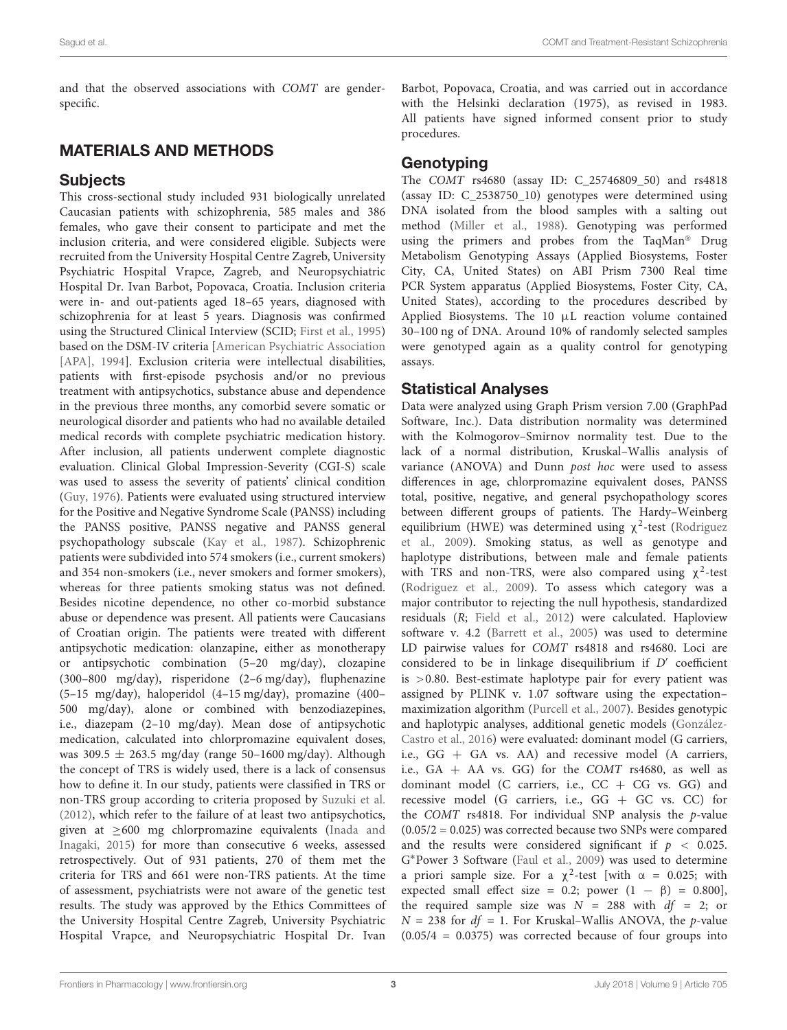and that the observed associations with COMT are genderspecific.

# MATERIALS AND METHODS

## **Subjects**

This cross-sectional study included 931 biologically unrelated Caucasian patients with schizophrenia, 585 males and 386 females, who gave their consent to participate and met the inclusion criteria, and were considered eligible. Subjects were recruited from the University Hospital Centre Zagreb, University Psychiatric Hospital Vrapce, Zagreb, and Neuropsychiatric Hospital Dr. Ivan Barbot, Popovaca, Croatia. Inclusion criteria were in- and out-patients aged 18–65 years, diagnosed with schizophrenia for at least 5 years. Diagnosis was confirmed using the Structured Clinical Interview (SCID; [First et al.,](#page-11-9) [1995\)](#page-11-9) based on the DSM-IV criteria [\[American Psychiatric Association](#page-10-4) [\[APA\],](#page-10-4) [1994\]](#page-10-4). Exclusion criteria were intellectual disabilities, patients with first-episode psychosis and/or no previous treatment with antipsychotics, substance abuse and dependence in the previous three months, any comorbid severe somatic or neurological disorder and patients who had no available detailed medical records with complete psychiatric medication history. After inclusion, all patients underwent complete diagnostic evaluation. Clinical Global Impression-Severity (CGI-S) scale was used to assess the severity of patients' clinical condition [\(Guy,](#page-11-10) [1976\)](#page-11-10). Patients were evaluated using structured interview for the Positive and Negative Syndrome Scale (PANSS) including the PANSS positive, PANSS negative and PANSS general psychopathology subscale [\(Kay et al.,](#page-12-15) [1987\)](#page-12-15). Schizophrenic patients were subdivided into 574 smokers (i.e., current smokers) and 354 non-smokers (i.e., never smokers and former smokers), whereas for three patients smoking status was not defined. Besides nicotine dependence, no other co-morbid substance abuse or dependence was present. All patients were Caucasians of Croatian origin. The patients were treated with different antipsychotic medication: olanzapine, either as monotherapy or antipsychotic combination (5–20 mg/day), clozapine (300–800 mg/day), risperidone (2–6 mg/day), fluphenazine (5–15 mg/day), haloperidol (4–15 mg/day), promazine (400– 500 mg/day), alone or combined with benzodiazepines, i.e., diazepam (2–10 mg/day). Mean dose of antipsychotic medication, calculated into chlorpromazine equivalent doses, was 309.5  $\pm$  263.5 mg/day (range 50–1600 mg/day). Although the concept of TRS is widely used, there is a lack of consensus how to define it. In our study, patients were classified in TRS or non-TRS group according to criteria proposed by [Suzuki et al.](#page-13-10) [\(2012\)](#page-13-10), which refer to the failure of at least two antipsychotics, given at ≥600 mg chlorpromazine equivalents [\(Inada and](#page-11-11) [Inagaki,](#page-11-11) [2015\)](#page-11-11) for more than consecutive 6 weeks, assessed retrospectively. Out of 931 patients, 270 of them met the criteria for TRS and 661 were non-TRS patients. At the time of assessment, psychiatrists were not aware of the genetic test results. The study was approved by the Ethics Committees of the University Hospital Centre Zagreb, University Psychiatric Hospital Vrapce, and Neuropsychiatric Hospital Dr. Ivan

Barbot, Popovaca, Croatia, and was carried out in accordance with the Helsinki declaration (1975), as revised in 1983. All patients have signed informed consent prior to study procedures.

# Genotyping

The COMT rs4680 (assay ID: C\_25746809\_50) and rs4818 (assay ID: C\_2538750\_10) genotypes were determined using DNA isolated from the blood samples with a salting out method [\(Miller et al.,](#page-12-16) [1988\)](#page-12-16). Genotyping was performed using the primers and probes from the TaqMan<sup>®</sup> Drug Metabolism Genotyping Assays (Applied Biosystems, Foster City, CA, United States) on ABI Prism 7300 Real time PCR System apparatus (Applied Biosystems, Foster City, CA, United States), according to the procedures described by Applied Biosystems. The 10 µL reaction volume contained 30–100 ng of DNA. Around 10% of randomly selected samples were genotyped again as a quality control for genotyping assays.

### Statistical Analyses

Data were analyzed using Graph Prism version 7.00 (GraphPad Software, Inc.). Data distribution normality was determined with the Kolmogorov–Smirnov normality test. Due to the lack of a normal distribution, Kruskal–Wallis analysis of variance (ANOVA) and Dunn post hoc were used to assess differences in age, chlorpromazine equivalent doses, PANSS total, positive, negative, and general psychopathology scores between different groups of patients. The Hardy–Weinberg equilibrium (HWE) was determined using  $\chi^2$ -test [\(Rodriguez](#page-13-11) [et al.,](#page-13-11) [2009\)](#page-13-11). Smoking status, as well as genotype and haplotype distributions, between male and female patients with TRS and non-TRS, were also compared using  $\chi^2$ -test [\(Rodriguez et al.,](#page-13-11) [2009\)](#page-13-11). To assess which category was a major contributor to rejecting the null hypothesis, standardized residuals (R; [Field et al.,](#page-11-12) [2012\)](#page-11-12) were calculated. Haploview software v. 4.2 [\(Barrett et al.,](#page-10-5) [2005\)](#page-10-5) was used to determine LD pairwise values for COMT rs4818 and rs4680. Loci are considered to be in linkage disequilibrium if  $D'$  coefficient is >0.80. Best-estimate haplotype pair for every patient was assigned by PLINK v. 1.07 software using the expectation– maximization algorithm [\(Purcell et al.,](#page-12-17) [2007\)](#page-12-17). Besides genotypic and haplotypic analyses, additional genetic models [\(González-](#page-11-4)[Castro et al.,](#page-11-4) [2016\)](#page-11-4) were evaluated: dominant model (G carriers, i.e., GG + GA vs. AA) and recessive model (A carriers, i.e.,  $GA + AA$  vs.  $GG$ ) for the  $COMT$  rs4680, as well as dominant model (C carriers, i.e.,  $CC + CG$  vs.  $GG$ ) and recessive model (G carriers, i.e.,  $GG + GC$  vs.  $CC$ ) for the COMT rs4818. For individual SNP analysis the  $p$ -value (0.05/2 = 0.025) was corrected because two SNPs were compared and the results were considered significant if  $p < 0.025$ . G <sup>∗</sup>Power 3 Software [\(Faul et al.,](#page-11-13) [2009\)](#page-11-13) was used to determine a priori sample size. For a  $\chi^2$ -test [with  $\alpha = 0.025$ ; with expected small effect size = 0.2; power  $(1 - \beta)$  = 0.800], the required sample size was  $N = 288$  with  $df = 2$ ; or  $N = 238$  for  $df = 1$ . For Kruskal–Wallis ANOVA, the p-value  $(0.05/4 = 0.0375)$  was corrected because of four groups into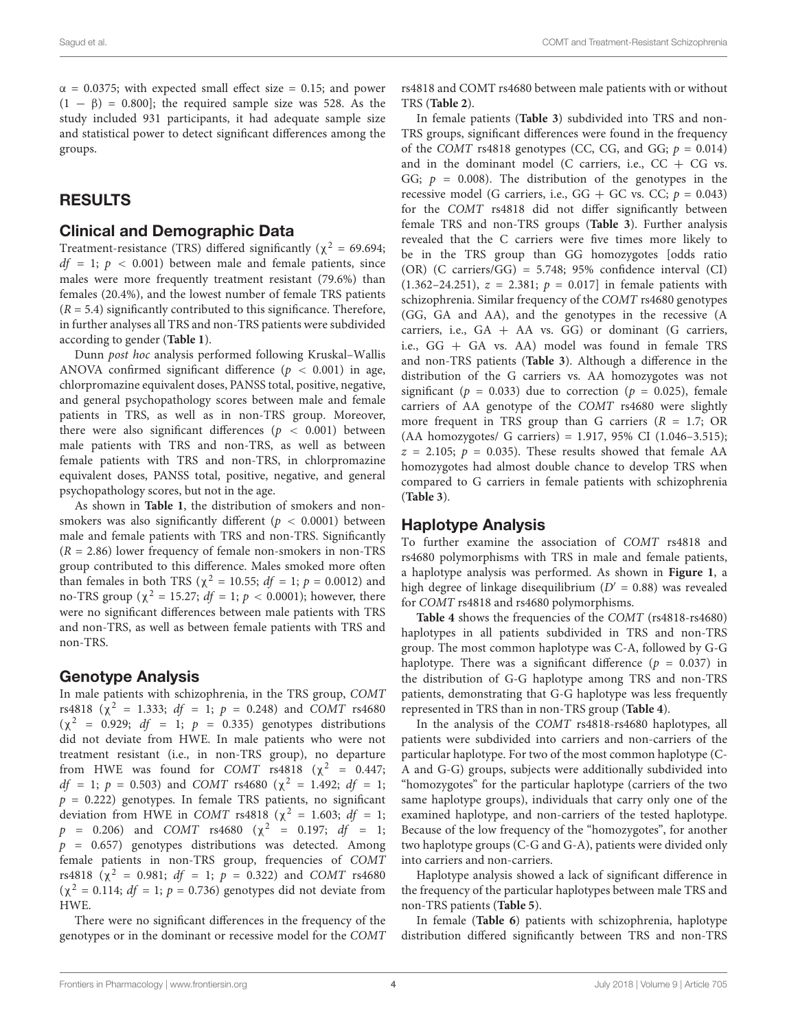$\alpha$  = 0.0375; with expected small effect size = 0.15; and power  $(1 - \beta) = 0.800$ ; the required sample size was 528. As the study included 931 participants, it had adequate sample size and statistical power to detect significant differences among the groups.

## RESULTS

#### Clinical and Demographic Data

Treatment-resistance (TRS) differed significantly ( $\chi^2$  = 69.694;  $df = 1$ ;  $p < 0.001$ ) between male and female patients, since males were more frequently treatment resistant (79.6%) than females (20.4%), and the lowest number of female TRS patients  $(R = 5.4)$  significantly contributed to this significance. Therefore, in further analyses all TRS and non-TRS patients were subdivided according to gender (**[Table 1](#page-4-0)**).

Dunn post hoc analysis performed following Kruskal–Wallis ANOVA confirmed significant difference ( $p < 0.001$ ) in age, chlorpromazine equivalent doses, PANSS total, positive, negative, and general psychopathology scores between male and female patients in TRS, as well as in non-TRS group. Moreover, there were also significant differences ( $p < 0.001$ ) between male patients with TRS and non-TRS, as well as between female patients with TRS and non-TRS, in chlorpromazine equivalent doses, PANSS total, positive, negative, and general psychopathology scores, but not in the age.

As shown in **[Table 1](#page-4-0)**, the distribution of smokers and nonsmokers was also significantly different ( $p < 0.0001$ ) between male and female patients with TRS and non-TRS. Significantly  $(R = 2.86)$  lower frequency of female non-smokers in non-TRS group contributed to this difference. Males smoked more often than females in both TRS ( $\chi^2 = 10.55$ ;  $df = 1$ ;  $p = 0.0012$ ) and no-TRS group ( $\chi^2$  = 15.27; *df* = 1; *p* < 0.0001); however, there were no significant differences between male patients with TRS and non-TRS, as well as between female patients with TRS and non-TRS.

#### Genotype Analysis

In male patients with schizophrenia, in the TRS group, COMT rs4818 ( $\chi^2$  = 1.333; *df* = 1; *p* = 0.248) and *COMT* rs4680  $(\chi^2$  = 0.929; *df* = 1; *p* = 0.335) genotypes distributions did not deviate from HWE. In male patients who were not treatment resistant (i.e., in non-TRS group), no departure from HWE was found for  $COMT$  rs4818 ( $\chi^2$  = 0.447;  $df = 1$ ;  $p = 0.503$ ) and COMT rs4680 (χ<sup>2</sup> = 1.492; df = 1;  $p = 0.222$ ) genotypes. In female TRS patients, no significant deviation from HWE in COMT rs4818 ( $\chi^2$  = 1.603; df = 1;  $p = 0.206$ ) and  $COMT$  rs4680 ( $\chi^2 = 0.197$ ; df = 1;  $p = 0.657$ ) genotypes distributions was detected. Among female patients in non-TRS group, frequencies of COMT rs4818 ( $\chi^2$  = 0.981; *df* = 1; *p* = 0.322) and *COMT* rs4680  $(\chi^2 = 0.114; df = 1; p = 0.736)$  genotypes did not deviate from HWE.

There were no significant differences in the frequency of the genotypes or in the dominant or recessive model for the COMT rs4818 and COMT rs4680 between male patients with or without TRS (**[Table 2](#page-4-1)**).

In female patients (**[Table 3](#page-5-0)**) subdivided into TRS and non-TRS groups, significant differences were found in the frequency of the COMT rs4818 genotypes (CC, CG, and GG;  $p = 0.014$ ) and in the dominant model (C carriers, i.e.,  $CC + CG$  vs. GG;  $p = 0.008$ ). The distribution of the genotypes in the recessive model (G carriers, i.e.,  $GG + GC$  vs.  $CC; p = 0.043$ ) for the COMT rs4818 did not differ significantly between female TRS and non-TRS groups (**[Table 3](#page-5-0)**). Further analysis revealed that the C carriers were five times more likely to be in the TRS group than GG homozygotes [odds ratio (OR) (C carriers/GG) = 5.748; 95% confidence interval (CI)  $(1.362 - 24.251), z = 2.381; p = 0.017$  in female patients with schizophrenia. Similar frequency of the COMT rs4680 genotypes (GG, GA and AA), and the genotypes in the recessive (A carriers, i.e.,  $GA + AA$  vs.  $GG$ ) or dominant (G carriers, i.e., GG + GA vs. AA) model was found in female TRS and non-TRS patients (**[Table 3](#page-5-0)**). Although a difference in the distribution of the G carriers vs. AA homozygotes was not significant ( $p = 0.033$ ) due to correction ( $p = 0.025$ ), female carriers of AA genotype of the COMT rs4680 were slightly more frequent in TRS group than G carriers  $(R = 1.7; OR)$ (AA homozygotes/ G carriers) = 1.917, 95% CI (1.046–3.515);  $z = 2.105$ ;  $p = 0.035$ ). These results showed that female AA homozygotes had almost double chance to develop TRS when compared to G carriers in female patients with schizophrenia (**[Table 3](#page-5-0)**).

### Haplotype Analysis

To further examine the association of COMT rs4818 and rs4680 polymorphisms with TRS in male and female patients, a haplotype analysis was performed. As shown in **[Figure 1](#page-5-1)**, a high degree of linkage disequilibrium ( $D' = 0.88$ ) was revealed for COMT rs4818 and rs4680 polymorphisms.

**[Table 4](#page-6-0)** shows the frequencies of the COMT (rs4818-rs4680) haplotypes in all patients subdivided in TRS and non-TRS group. The most common haplotype was C-A, followed by G-G haplotype. There was a significant difference ( $p = 0.037$ ) in the distribution of G-G haplotype among TRS and non-TRS patients, demonstrating that G-G haplotype was less frequently represented in TRS than in non-TRS group (**[Table 4](#page-6-0)**).

In the analysis of the COMT rs4818-rs4680 haplotypes, all patients were subdivided into carriers and non-carriers of the particular haplotype. For two of the most common haplotype (C-A and G-G) groups, subjects were additionally subdivided into "homozygotes" for the particular haplotype (carriers of the two same haplotype groups), individuals that carry only one of the examined haplotype, and non-carriers of the tested haplotype. Because of the low frequency of the "homozygotes", for another two haplotype groups (C-G and G-A), patients were divided only into carriers and non-carriers.

Haplotype analysis showed a lack of significant difference in the frequency of the particular haplotypes between male TRS and non-TRS patients (**[Table 5](#page-6-1)**).

In female (**[Table 6](#page-6-2)**) patients with schizophrenia, haplotype distribution differed significantly between TRS and non-TRS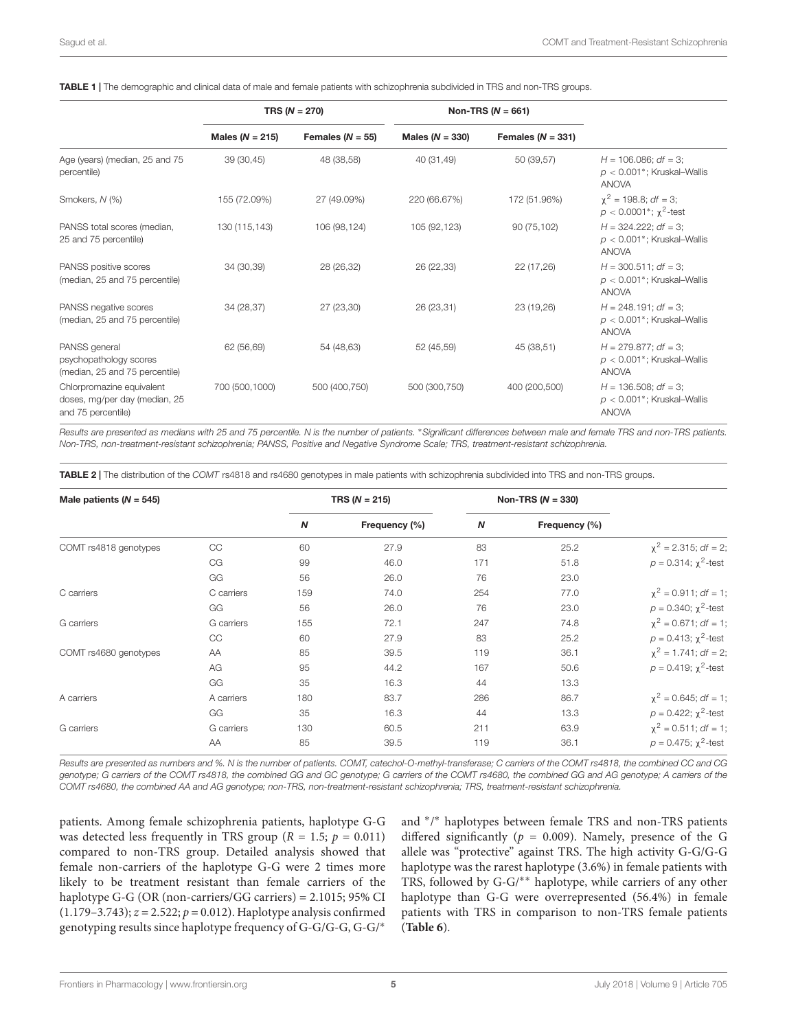<span id="page-4-0"></span>

|  | TABLE 1   The demographic and clinical data of male and female patients with schizophrenia subdivided in TRS and non-TRS groups. |  |
|--|----------------------------------------------------------------------------------------------------------------------------------|--|
|--|----------------------------------------------------------------------------------------------------------------------------------|--|

|                                                                                  | TRS ( $N = 270$ )   |                      |                   | Non-TRS ( $N = 661$ ) |                                                                          |
|----------------------------------------------------------------------------------|---------------------|----------------------|-------------------|-----------------------|--------------------------------------------------------------------------|
|                                                                                  | Males ( $N = 215$ ) | Females ( $N = 55$ ) | Males $(N = 330)$ | Females ( $N = 331$ ) |                                                                          |
| Age (years) (median, 25 and 75<br>percentile)                                    | 39 (30,45)          | 48 (38,58)           | 40 (31,49)        | 50 (39,57)            | $H = 106.086$ ; df = 3;<br>$p < 0.001$ *; Kruskal-Wallis<br><b>ANOVA</b> |
| Smokers, N (%)                                                                   | 155 (72.09%)        | 27 (49.09%)          | 220 (66.67%)      | 172 (51.96%)          | $\chi^2$ = 198.8; <i>df</i> = 3;<br>$p < 0.0001^*$ ; $\chi^2$ -test      |
| PANSS total scores (median,<br>25 and 75 percentile)                             | 130 (115,143)       | 106 (98,124)         | 105 (92,123)      | 90 (75,102)           | $H = 324.222$ ; df = 3;<br>$p < 0.001$ *; Kruskal-Wallis<br><b>ANOVA</b> |
| PANSS positive scores<br>(median, 25 and 75 percentile)                          | 34 (30,39)          | 28 (26,32)           | 26 (22,33)        | 22 (17,26)            | $H = 300.511$ ; df = 3;<br>$p < 0.001$ *; Kruskal-Wallis<br><b>ANOVA</b> |
| PANSS negative scores<br>(median, 25 and 75 percentile)                          | 34 (28,37)          | 27 (23,30)           | 26 (23,31)        | 23 (19,26)            | $H = 248.191$ ; df = 3;<br>$p < 0.001$ *; Kruskal-Wallis<br><b>ANOVA</b> |
| PANSS general<br>psychopathology scores<br>(median, 25 and 75 percentile)        | 62 (56,69)          | 54 (48,63)           | 52 (45,59)        | 45 (38,51)            | $H = 279.877$ ; df = 3;<br>$p < 0.001$ *; Kruskal-Wallis<br><b>ANOVA</b> |
| Chlorpromazine equivalent<br>doses, mg/per day (median, 25<br>and 75 percentile) | 700 (500,1000)      | 500 (400,750)        | 500 (300,750)     | 400 (200,500)         | $H = 136.508$ ; df = 3;<br>$p < 0.001$ *; Kruskal-Wallis<br><b>ANOVA</b> |

Results are presented as medians with 25 and 75 percentile. N is the number of patients. <sup>∗</sup>Significant differences between male and female TRS and non-TRS patients. Non-TRS, non-treatment-resistant schizophrenia; PANSS, Positive and Negative Syndrome Scale; TRS, treatment-resistant schizophrenia.

<span id="page-4-1"></span>TABLE 2 | The distribution of the COMT rs4818 and rs4680 genotypes in male patients with schizophrenia subdivided into TRS and non-TRS groups.

| Male patients ( $N = 545$ ) |            | TRS $(N = 215)$ |               | Non-TRS $(N = 330)$ |               |                                  |
|-----------------------------|------------|-----------------|---------------|---------------------|---------------|----------------------------------|
|                             |            | N               | Frequency (%) | $\boldsymbol{N}$    | Frequency (%) |                                  |
| COMT rs4818 genotypes       | CC         | 60              | 27.9          | 83                  | 25.2          | $\chi^2$ = 2.315; df = 2;        |
|                             | CG         | 99              | 46.0          | 171                 | 51.8          | $p = 0.314$ ; $\chi^2$ -test     |
|                             | GG         | 56              | 26.0          | 76                  | 23.0          |                                  |
| C carriers                  | C carriers | 159             | 74.0          | 254                 | 77.0          | $\chi^2$ = 0.911; <i>df</i> = 1; |
|                             | GG         | 56              | 26.0          | 76                  | 23.0          | $p = 0.340$ ; $\chi^2$ -test     |
| G carriers                  | G carriers | 155             | 72.1          | 247                 | 74.8          | $\chi^2$ = 0.671; <i>df</i> = 1; |
|                             | CC         | 60              | 27.9          | 83                  | 25.2          | $p = 0.413$ ; $\chi^2$ -test     |
| COMT rs4680 genotypes       | AA         | 85              | 39.5          | 119                 | 36.1          | $\chi^2$ = 1.741; <i>df</i> = 2; |
|                             | AG         | 95              | 44.2          | 167                 | 50.6          | $p = 0.419$ ; $\chi^2$ -test     |
|                             | GG         | 35              | 16.3          | 44                  | 13.3          |                                  |
| A carriers                  | A carriers | 180             | 83.7          | 286                 | 86.7          | $\chi^2$ = 0.645; df = 1;        |
|                             | GG         | 35              | 16.3          | 44                  | 13.3          | $p = 0.422$ ; $\chi^2$ -test     |
| G carriers                  | G carriers | 130             | 60.5          | 211                 | 63.9          | $\chi^2$ = 0.511; <i>df</i> = 1; |
|                             | AA         | 85              | 39.5          | 119                 | 36.1          | $p = 0.475$ ; $\chi^2$ -test     |

Results are presented as numbers and %. N is the number of patients. COMT, catechol-O-methyl-transferase; C carriers of the COMT rs4818, the combined CC and CG genotype; G carriers of the COMT rs4818, the combined GG and GC genotype; G carriers of the COMT rs4680, the combined GG and AG genotype; A carriers of the COMT rs4680, the combined AA and AG genotype; non-TRS, non-treatment-resistant schizophrenia; TRS, treatment-resistant schizophrenia.

patients. Among female schizophrenia patients, haplotype G-G was detected less frequently in TRS group ( $R = 1.5$ ;  $p = 0.011$ ) compared to non-TRS group. Detailed analysis showed that female non-carriers of the haplotype G-G were 2 times more likely to be treatment resistant than female carriers of the haplotype G-G (OR (non-carriers/GG carriers) = 2.1015; 95% CI  $(1.179-3.743); z = 2.522; p = 0.012$ . Haplotype analysis confirmed genotyping results since haplotype frequency of G-G/G-G, G-G/<sup>∗</sup>

and <sup>∗</sup> / <sup>∗</sup> haplotypes between female TRS and non-TRS patients differed significantly ( $p = 0.009$ ). Namely, presence of the G allele was "protective" against TRS. The high activity G-G/G-G haplotype was the rarest haplotype (3.6%) in female patients with TRS, followed by G-G/∗∗ haplotype, while carriers of any other haplotype than G-G were overrepresented (56.4%) in female patients with TRS in comparison to non-TRS female patients (**[Table 6](#page-6-2)**).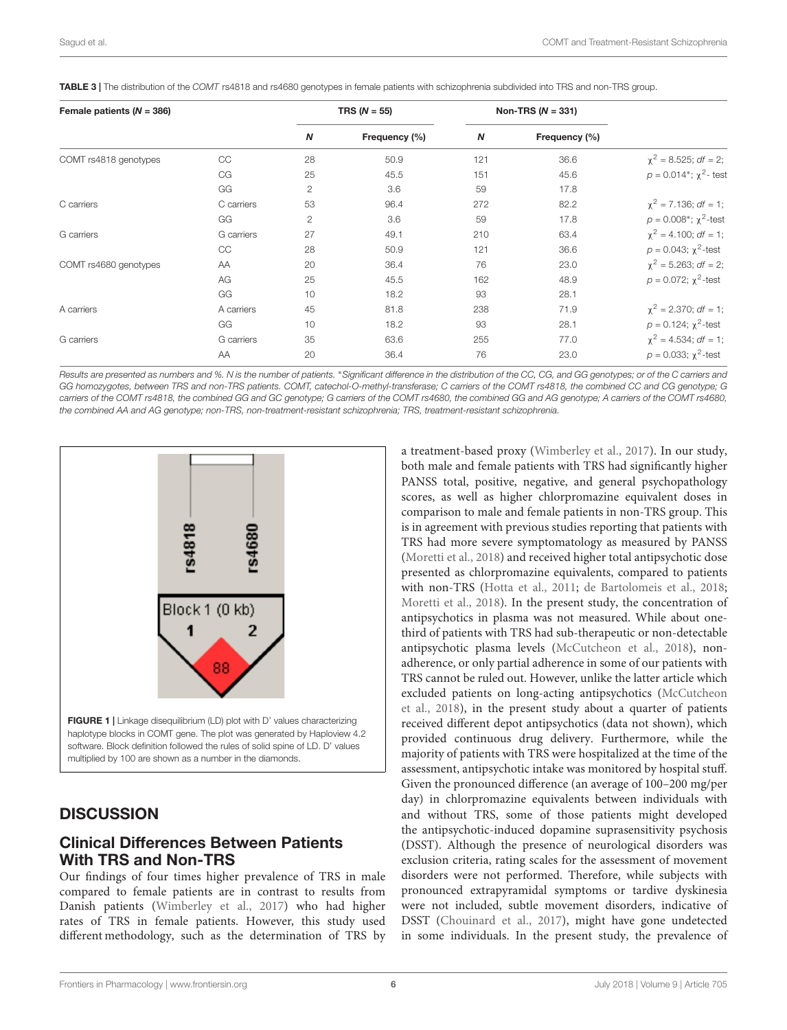| Female patients ( $N = 386$ ) |            |                  | TRS ( $N = 55$ ) |                  | Non-TRS $(N = 331)$ |                                  |
|-------------------------------|------------|------------------|------------------|------------------|---------------------|----------------------------------|
|                               |            | $\boldsymbol{N}$ | Frequency (%)    | $\boldsymbol{N}$ | Frequency (%)       |                                  |
| COMT rs4818 genotypes         | CC         | 28               | 50.9             | 121              | 36.6                | $\chi^2 = 8.525$ ; df = 2;       |
|                               | CG         | 25               | 45.5             | 151              | 45.6                | $p = 0.014$ *; $\chi^2$ - test   |
|                               | GG         | 2                | 3.6              | 59               | 17.8                |                                  |
| C carriers                    | C carriers | 53               | 96.4             | 272              | 82.2                | $\chi^2$ = 7.136; <i>df</i> = 1; |
|                               | GG         | 2                | 3.6              | 59               | 17.8                | $p = 0.008^*$ ; $\chi^2$ -test   |
| G carriers                    | G carriers | 27               | 49.1             | 210              | 63.4                | $\chi^2$ = 4.100; df = 1;        |
|                               | CC         | 28               | 50.9             | 121              | 36.6                | $p = 0.043$ ; $\chi^2$ -test     |
| COMT rs4680 genotypes         | AA         | 20               | 36.4             | 76               | 23.0                | $\chi^2$ = 5.263; df = 2;        |
|                               | AG         | 25               | 45.5             | 162              | 48.9                | $p = 0.072$ ; $\chi^2$ -test     |
|                               | GG         | 10               | 18.2             | 93               | 28.1                |                                  |
| A carriers                    | A carriers | 45               | 81.8             | 238              | 71.9                | $\chi^2$ = 2.370; df = 1;        |
|                               | GG         | 10               | 18.2             | 93               | 28.1                | $p = 0.124$ ; $\chi^2$ -test     |
| G carriers                    | G carriers | 35               | 63.6             | 255              | 77.0                | $\chi^2 = 4.534$ ; df = 1;       |
|                               | AA         | 20               | 36.4             | 76               | 23.0                | $p = 0.033$ ; $\chi^2$ -test     |

<span id="page-5-0"></span>TABLE 3 | The distribution of the COMT rs4818 and rs4680 genotypes in female patients with schizophrenia subdivided into TRS and non-TRS group.

Results are presented as numbers and %. N is the number of patients. <sup>∗</sup>Significant difference in the distribution of the CC, CG, and GG genotypes; or of the C carriers and GG homozygotes, between TRS and non-TRS patients. COMT, catechol-O-methyl-transferase; C carriers of the COMT rs4818, the combined CC and CG genotype; G carriers of the COMT rs4818, the combined GG and GC genotype; G carriers of the COMT rs4680, the combined GG and AG genotype; A carriers of the COMT rs4680, the combined AA and AG genotype; non-TRS, non-treatment-resistant schizophrenia; TRS, treatment-resistant schizophrenia.



#### <span id="page-5-1"></span>**DISCUSSION**

### Clinical Differences Between Patients With TRS and Non-TRS

Our findings of four times higher prevalence of TRS in male compared to female patients are in contrast to results from Danish patients [\(Wimberley et al.,](#page-13-12) [2017\)](#page-13-12) who had higher rates of TRS in female patients. However, this study used different methodology, such as the determination of TRS by a treatment-based proxy [\(Wimberley et al.,](#page-13-12) [2017\)](#page-13-12). In our study, both male and female patients with TRS had significantly higher PANSS total, positive, negative, and general psychopathology scores, as well as higher chlorpromazine equivalent doses in comparison to male and female patients in non-TRS group. This is in agreement with previous studies reporting that patients with TRS had more severe symptomatology as measured by PANSS [\(Moretti et al.,](#page-12-11) [2018\)](#page-12-11) and received higher total antipsychotic dose presented as chlorpromazine equivalents, compared to patients with non-TRS [\(Hotta et al.,](#page-11-14) [2011;](#page-11-14) [de Bartolomeis et al.,](#page-10-6) [2018;](#page-10-6) [Moretti et al.,](#page-12-11) [2018\)](#page-12-11). In the present study, the concentration of antipsychotics in plasma was not measured. While about onethird of patients with TRS had sub-therapeutic or non-detectable antipsychotic plasma levels [\(McCutcheon et al.,](#page-12-18) [2018\)](#page-12-18), nonadherence, or only partial adherence in some of our patients with TRS cannot be ruled out. However, unlike the latter article which excluded patients on long-acting antipsychotics [\(McCutcheon](#page-12-18) [et al.,](#page-12-18) [2018\)](#page-12-18), in the present study about a quarter of patients received different depot antipsychotics (data not shown), which provided continuous drug delivery. Furthermore, while the majority of patients with TRS were hospitalized at the time of the assessment, antipsychotic intake was monitored by hospital stuff. Given the pronounced difference (an average of 100–200 mg/per day) in chlorpromazine equivalents between individuals with and without TRS, some of those patients might developed the antipsychotic-induced dopamine suprasensitivity psychosis (DSST). Although the presence of neurological disorders was exclusion criteria, rating scales for the assessment of movement disorders were not performed. Therefore, while subjects with pronounced extrapyramidal symptoms or tardive dyskinesia were not included, subtle movement disorders, indicative of DSST [\(Chouinard et al.,](#page-10-7) [2017\)](#page-10-7), might have gone undetected in some individuals. In the present study, the prevalence of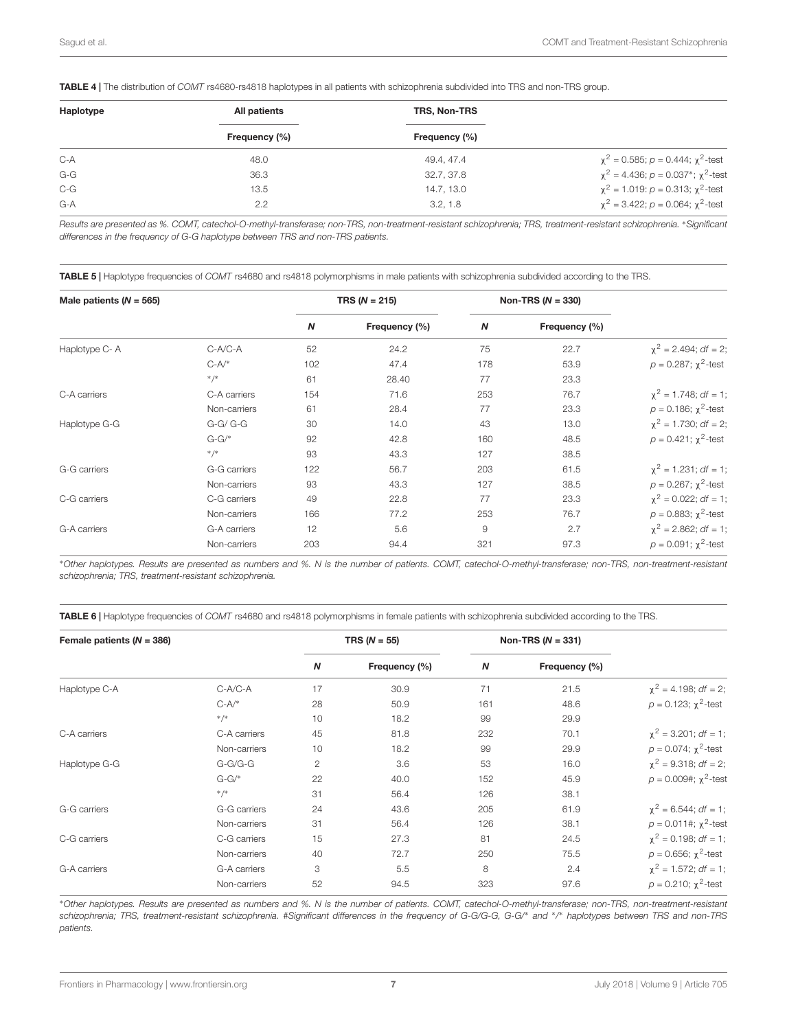<span id="page-6-0"></span>TABLE 4 | The distribution of COMT rs4680-rs4818 haplotypes in all patients with schizophrenia subdivided into TRS and non-TRS group.

| Haplotype | All patients  | TRS, Non-TRS  |                                                             |
|-----------|---------------|---------------|-------------------------------------------------------------|
|           | Frequency (%) | Frequency (%) |                                                             |
| $C-A$     | 48.0          | 49.4, 47.4    | $\chi^2$ = 0.585; p = 0.444; $\chi^2$ -test                 |
| $G-G$     | 36.3          | 32.7, 37.8    | $\chi^2$ = 4.436; $p = 0.037$ <sup>*</sup> ; $\chi^2$ -test |
| $C-G$     | 13.5          | 14.7, 13.0    | $\chi^2$ = 1.019: $p = 0.313$ ; $\chi^2$ -test              |
| $G-A$     | 2.2           | 3.2.1.8       | $\chi^2$ = 3.422; p = 0.064; $\chi^2$ -test                 |
|           |               |               |                                                             |

Results are presented as %. COMT, catechol-O-methyl-transferase; non-TRS, non-treatment-resistant schizophrenia; TRS, treatment-resistant schizophrenia. <sup>∗</sup>Significant differences in the frequency of G-G haplotype between TRS and non-TRS patients.

<span id="page-6-1"></span>TABLE 5 | Haplotype frequencies of COMT rs4680 and rs4818 polymorphisms in male patients with schizophrenia subdivided according to the TRS.

| Male patients $(N = 565)$ |              | TRS ( $N = 215$ ) |               | Non-TRS $(N = 330)$ |               |                              |
|---------------------------|--------------|-------------------|---------------|---------------------|---------------|------------------------------|
|                           |              | N                 | Frequency (%) | N                   | Frequency (%) |                              |
| Haplotype C-A             | $C-A/C-A$    | 52                | 24.2          | 75                  | 22.7          | $\chi^2$ = 2.494; df = 2;    |
|                           | $C-A/*$      | 102               | 47.4          | 178                 | 53.9          | $p = 0.287$ ; $\chi^2$ -test |
|                           | $*/*$        | 61                | 28.40         | 77                  | 23.3          |                              |
| C-A carriers              | C-A carriers | 154               | 71.6          | 253                 | 76.7          | $\chi^2$ = 1.748; df = 1;    |
|                           | Non-carriers | 61                | 28.4          | 77                  | 23.3          | $p = 0.186$ ; $\chi^2$ -test |
| Haplotype G-G             | $G-G/G-G$    | 30                | 14.0          | 43                  | 13.0          | $\chi^2$ = 1.730; df = 2;    |
|                           | $G-G/*$      | 92                | 42.8          | 160                 | 48.5          | $p = 0.421$ ; $\chi^2$ -test |
|                           | $*/*$        | 93                | 43.3          | 127                 | 38.5          |                              |
| G-G carriers              | G-G carriers | 122               | 56.7          | 203                 | 61.5          | $\chi^2$ = 1.231; df = 1;    |
|                           | Non-carriers | 93                | 43.3          | 127                 | 38.5          | $p = 0.267$ ; $\chi^2$ -test |
| C-G carriers              | C-G carriers | 49                | 22.8          | 77                  | 23.3          | $\chi^2$ = 0.022; df = 1;    |
|                           | Non-carriers | 166               | 77.2          | 253                 | 76.7          | $p = 0.883$ ; $\chi^2$ -test |
| G-A carriers              | G-A carriers | 12                | 5.6           | 9                   | 2.7           | $\chi^2$ = 2.862; df = 1;    |
|                           | Non-carriers | 203               | 94.4          | 321                 | 97.3          | $p = 0.091$ ; $\chi^2$ -test |

<sup>∗</sup>Other haplotypes. Results are presented as numbers and %. N is the number of patients. COMT, catechol-O-methyl-transferase; non-TRS, non-treatment-resistant schizophrenia; TRS, treatment-resistant schizophrenia.

<span id="page-6-2"></span>TABLE 6 | Haplotype frequencies of COMT rs4680 and rs4818 polymorphisms in female patients with schizophrenia subdivided according to the TRS.

| Female patients $(N = 386)$ |              | TRS ( $N = 55$ ) |               | Non-TRS ( $N = 331$ ) |               |                                  |
|-----------------------------|--------------|------------------|---------------|-----------------------|---------------|----------------------------------|
|                             |              | N                | Frequency (%) | N                     | Frequency (%) |                                  |
| Haplotype C-A               | C-A/C-A      | 17               | 30.9          | 71                    | 21.5          | $\chi^2 = 4.198$ ; df = 2;       |
|                             | $C-A/*$      | 28               | 50.9          | 161                   | 48.6          | $p = 0.123$ ; $\chi^2$ -test     |
|                             | $*/*$        | 10               | 18.2          | 99                    | 29.9          |                                  |
| C-A carriers                | C-A carriers | 45               | 81.8          | 232                   | 70.1          | $\chi^2$ = 3.201; df = 1;        |
|                             | Non-carriers | 10               | 18.2          | 99                    | 29.9          | $p = 0.074$ ; $\chi^2$ -test     |
| Haplotype G-G               | $G-G/G-G$    | $\overline{c}$   | 3.6           | 53                    | 16.0          | $\chi^2 = 9.318$ ; df = 2;       |
|                             | $G-G/*$      | 22               | 40.0          | 152                   | 45.9          | $p = 0.009$ #; $\chi^2$ -test    |
|                             | $*/*$        | 31               | 56.4          | 126                   | 38.1          |                                  |
| G-G carriers                | G-G carriers | 24               | 43.6          | 205                   | 61.9          | $\chi^2$ = 6.544; <i>df</i> = 1; |
|                             | Non-carriers | 31               | 56.4          | 126                   | 38.1          | $p = 0.011$ #; $\chi^2$ -test    |
| C-G carriers                | C-G carriers | 15               | 27.3          | 81                    | 24.5          | $\chi^2 = 0.198$ ; df = 1;       |
|                             | Non-carriers | 40               | 72.7          | 250                   | 75.5          | $p = 0.656$ ; $\chi^2$ -test     |
| G-A carriers                | G-A carriers | 3                | 5.5           | 8                     | 2.4           | $\chi^2$ = 1.572; df = 1;        |
|                             | Non-carriers | 52               | 94.5          | 323                   | 97.6          | $p = 0.210$ ; $\chi^2$ -test     |

<sup>∗</sup>Other haplotypes. Results are presented as numbers and %. N is the number of patients. COMT, catechol-O-methyl-transferase; non-TRS, non-treatment-resistant schizophrenia; TRS, treatment-resistant schizophrenia. #Significant differences in the frequency of G-G/G-G, G-G/<sup>∗</sup> and <sup>∗</sup> / <sup>∗</sup> haplotypes between TRS and non-TRS patients.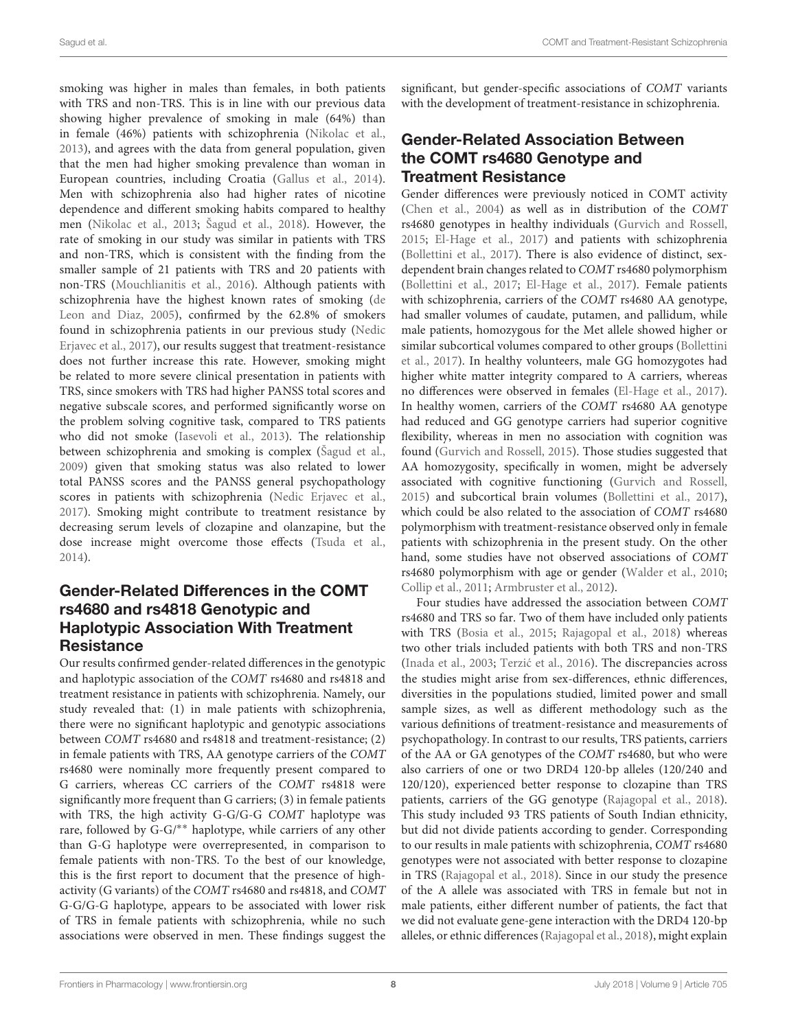smoking was higher in males than females, in both patients with TRS and non-TRS. This is in line with our previous data showing higher prevalence of smoking in male (64%) than in female (46%) patients with schizophrenia [\(Nikolac et al.,](#page-12-8) [2013\)](#page-12-8), and agrees with the data from general population, given that the men had higher smoking prevalence than woman in European countries, including Croatia [\(Gallus et al.,](#page-11-15) [2014\)](#page-11-15). Men with schizophrenia also had higher rates of nicotine dependence and different smoking habits compared to healthy men [\(Nikolac et al.,](#page-12-8) [2013;](#page-12-8) [Šagud et al.,](#page-13-13) [2018\)](#page-13-13). However, the rate of smoking in our study was similar in patients with TRS and non-TRS, which is consistent with the finding from the smaller sample of 21 patients with TRS and 20 patients with non-TRS [\(Mouchlianitis et al.,](#page-12-19) [2016\)](#page-12-19). Although patients with schizophrenia have the highest known rates of smoking [\(de](#page-11-16) [Leon and Diaz,](#page-11-16) [2005\)](#page-11-16), confirmed by the 62.8% of smokers found in schizophrenia patients in our previous study [\(Nedic](#page-12-1) [Erjavec et al.,](#page-12-1) [2017\)](#page-12-1), our results suggest that treatment-resistance does not further increase this rate. However, smoking might be related to more severe clinical presentation in patients with TRS, since smokers with TRS had higher PANSS total scores and negative subscale scores, and performed significantly worse on the problem solving cognitive task, compared to TRS patients who did not smoke [\(Iasevoli et al.,](#page-11-17) [2013\)](#page-11-17). The relationship between schizophrenia and smoking is complex [\(Šagud et al.,](#page-13-14) [2009\)](#page-13-14) given that smoking status was also related to lower total PANSS scores and the PANSS general psychopathology scores in patients with schizophrenia [\(Nedic Erjavec et al.,](#page-12-1) [2017\)](#page-12-1). Smoking might contribute to treatment resistance by decreasing serum levels of clozapine and olanzapine, but the dose increase might overcome those effects [\(Tsuda et al.,](#page-13-15) [2014\)](#page-13-15).

# Gender-Related Differences in the COMT rs4680 and rs4818 Genotypic and Haplotypic Association With Treatment **Resistance**

Our results confirmed gender-related differences in the genotypic and haplotypic association of the COMT rs4680 and rs4818 and treatment resistance in patients with schizophrenia. Namely, our study revealed that: (1) in male patients with schizophrenia, there were no significant haplotypic and genotypic associations between COMT rs4680 and rs4818 and treatment-resistance; (2) in female patients with TRS, AA genotype carriers of the COMT rs4680 were nominally more frequently present compared to G carriers, whereas CC carriers of the COMT rs4818 were significantly more frequent than G carriers; (3) in female patients with TRS, the high activity G-G/G-G COMT haplotype was rare, followed by G-G/∗∗ haplotype, while carriers of any other than G-G haplotype were overrepresented, in comparison to female patients with non-TRS. To the best of our knowledge, this is the first report to document that the presence of highactivity (G variants) of the COMT rs4680 and rs4818, and COMT G-G/G-G haplotype, appears to be associated with lower risk of TRS in female patients with schizophrenia, while no such associations were observed in men. These findings suggest the

significant, but gender-specific associations of COMT variants with the development of treatment-resistance in schizophrenia.

# Gender-Related Association Between the COMT rs4680 Genotype and Treatment Resistance

Gender differences were previously noticed in COMT activity [\(Chen et al.,](#page-10-1) [2004\)](#page-10-1) as well as in distribution of the COMT rs4680 genotypes in healthy individuals [\(Gurvich and Rossell,](#page-11-18) [2015;](#page-11-18) [El-Hage et al.,](#page-11-19) [2017\)](#page-11-19) and patients with schizophrenia [\(Bollettini et al.,](#page-10-8) [2017\)](#page-10-8). There is also evidence of distinct, sexdependent brain changes related to COMT rs4680 polymorphism [\(Bollettini et al.,](#page-10-8) [2017;](#page-10-8) [El-Hage et al.,](#page-11-19) [2017\)](#page-11-19). Female patients with schizophrenia, carriers of the COMT rs4680 AA genotype, had smaller volumes of caudate, putamen, and pallidum, while male patients, homozygous for the Met allele showed higher or similar subcortical volumes compared to other groups [\(Bollettini](#page-10-8) [et al.,](#page-10-8) [2017\)](#page-10-8). In healthy volunteers, male GG homozygotes had higher white matter integrity compared to A carriers, whereas no differences were observed in females [\(El-Hage et al.,](#page-11-19) [2017\)](#page-11-19). In healthy women, carriers of the COMT rs4680 AA genotype had reduced and GG genotype carriers had superior cognitive flexibility, whereas in men no association with cognition was found [\(Gurvich and Rossell,](#page-11-18) [2015\)](#page-11-18). Those studies suggested that AA homozygosity, specifically in women, might be adversely associated with cognitive functioning [\(Gurvich and Rossell,](#page-11-18) [2015\)](#page-11-18) and subcortical brain volumes [\(Bollettini et al.,](#page-10-8) [2017\)](#page-10-8), which could be also related to the association of COMT rs4680 polymorphism with treatment-resistance observed only in female patients with schizophrenia in the present study. On the other hand, some studies have not observed associations of COMT rs4680 polymorphism with age or gender [\(Walder et al.,](#page-13-16) [2010;](#page-13-16) [Collip et al.,](#page-10-9) [2011;](#page-10-9) [Armbruster et al.,](#page-10-10) [2012\)](#page-10-10).

Four studies have addressed the association between COMT rs4680 and TRS so far. Two of them have included only patients with TRS [\(Bosia et al.,](#page-10-3) [2015;](#page-10-3) [Rajagopal et al.,](#page-13-5) [2018\)](#page-13-5) whereas two other trials included patients with both TRS and non-TRS [\(Inada et al.,](#page-12-12) [2003;](#page-12-12) Terzić et al., [2016\)](#page-13-4). The discrepancies across the studies might arise from sex-differences, ethnic differences, diversities in the populations studied, limited power and small sample sizes, as well as different methodology such as the various definitions of treatment-resistance and measurements of psychopathology. In contrast to our results, TRS patients, carriers of the AA or GA genotypes of the COMT rs4680, but who were also carriers of one or two DRD4 120-bp alleles (120/240 and 120/120), experienced better response to clozapine than TRS patients, carriers of the GG genotype [\(Rajagopal et al.,](#page-13-5) [2018\)](#page-13-5). This study included 93 TRS patients of South Indian ethnicity, but did not divide patients according to gender. Corresponding to our results in male patients with schizophrenia, COMT rs4680 genotypes were not associated with better response to clozapine in TRS [\(Rajagopal et al.,](#page-13-5) [2018\)](#page-13-5). Since in our study the presence of the A allele was associated with TRS in female but not in male patients, either different number of patients, the fact that we did not evaluate gene-gene interaction with the DRD4 120-bp alleles, or ethnic differences [\(Rajagopal et al.,](#page-13-5) [2018\)](#page-13-5), might explain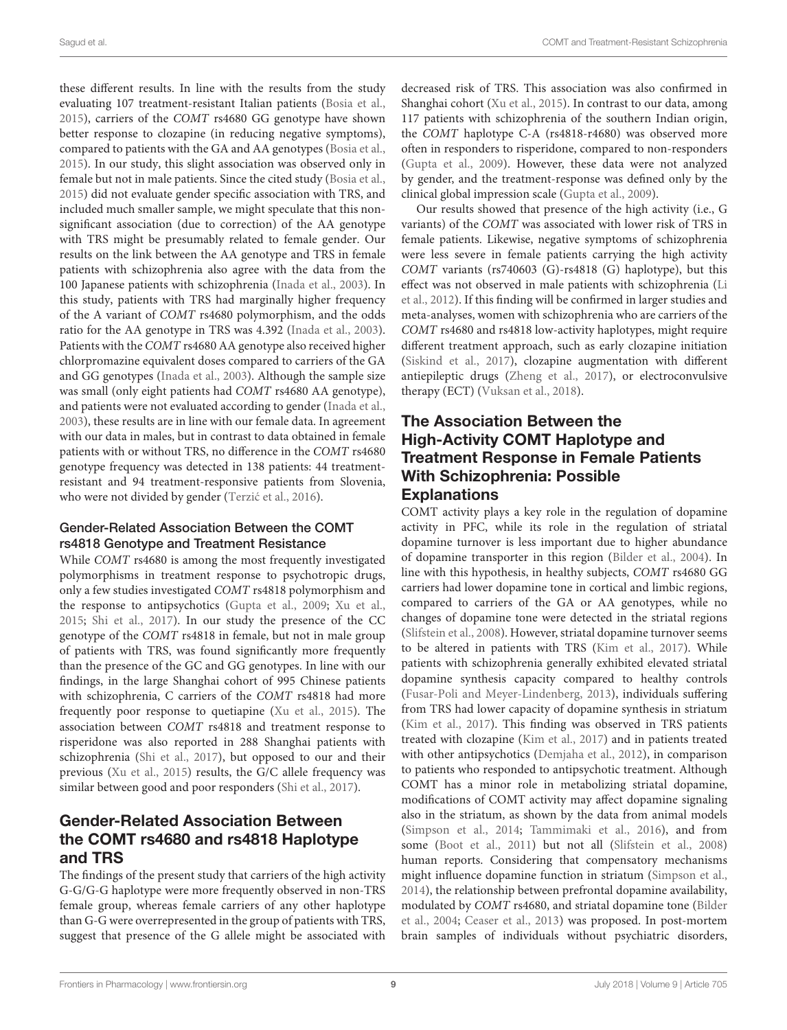these different results. In line with the results from the study evaluating 107 treatment-resistant Italian patients [\(Bosia et al.,](#page-10-3) [2015\)](#page-10-3), carriers of the COMT rs4680 GG genotype have shown better response to clozapine (in reducing negative symptoms), compared to patients with the GA and AA genotypes [\(Bosia et al.,](#page-10-3) [2015\)](#page-10-3). In our study, this slight association was observed only in female but not in male patients. Since the cited study [\(Bosia et al.,](#page-10-3) [2015\)](#page-10-3) did not evaluate gender specific association with TRS, and included much smaller sample, we might speculate that this nonsignificant association (due to correction) of the AA genotype with TRS might be presumably related to female gender. Our results on the link between the AA genotype and TRS in female patients with schizophrenia also agree with the data from the 100 Japanese patients with schizophrenia [\(Inada et al.,](#page-12-12) [2003\)](#page-12-12). In this study, patients with TRS had marginally higher frequency of the A variant of COMT rs4680 polymorphism, and the odds ratio for the AA genotype in TRS was 4.392 [\(Inada et al.,](#page-12-12) [2003\)](#page-12-12). Patients with the COMT rs4680 AA genotype also received higher chlorpromazine equivalent doses compared to carriers of the GA and GG genotypes [\(Inada et al.,](#page-12-12) [2003\)](#page-12-12). Although the sample size was small (only eight patients had COMT rs4680 AA genotype), and patients were not evaluated according to gender [\(Inada et al.,](#page-12-12) [2003\)](#page-12-12), these results are in line with our female data. In agreement with our data in males, but in contrast to data obtained in female patients with or without TRS, no difference in the COMT rs4680 genotype frequency was detected in 138 patients: 44 treatmentresistant and 94 treatment-responsive patients from Slovenia, who were not divided by gender (Terzić et al., [2016\)](#page-13-4).

#### Gender-Related Association Between the COMT rs4818 Genotype and Treatment Resistance

While COMT rs4680 is among the most frequently investigated polymorphisms in treatment response to psychotropic drugs, only a few studies investigated COMT rs4818 polymorphism and the response to antipsychotics [\(Gupta et al.,](#page-11-8) [2009;](#page-11-8) [Xu et al.,](#page-13-8) [2015;](#page-13-8) [Shi et al.,](#page-13-9) [2017\)](#page-13-9). In our study the presence of the CC genotype of the COMT rs4818 in female, but not in male group of patients with TRS, was found significantly more frequently than the presence of the GC and GG genotypes. In line with our findings, in the large Shanghai cohort of 995 Chinese patients with schizophrenia, C carriers of the COMT rs4818 had more frequently poor response to quetiapine [\(Xu et al.,](#page-13-8) [2015\)](#page-13-8). The association between COMT rs4818 and treatment response to risperidone was also reported in 288 Shanghai patients with schizophrenia [\(Shi et al.,](#page-13-9) [2017\)](#page-13-9), but opposed to our and their previous [\(Xu et al.,](#page-13-8) [2015\)](#page-13-8) results, the G/C allele frequency was similar between good and poor responders [\(Shi et al.,](#page-13-9) [2017\)](#page-13-9).

# Gender-Related Association Between the COMT rs4680 and rs4818 Haplotype and TRS

The findings of the present study that carriers of the high activity G-G/G-G haplotype were more frequently observed in non-TRS female group, whereas female carriers of any other haplotype than G-G were overrepresented in the group of patients with TRS, suggest that presence of the G allele might be associated with

decreased risk of TRS. This association was also confirmed in Shanghai cohort [\(Xu et al.,](#page-13-8) [2015\)](#page-13-8). In contrast to our data, among 117 patients with schizophrenia of the southern Indian origin, the COMT haplotype C-A (rs4818-r4680) was observed more often in responders to risperidone, compared to non-responders [\(Gupta et al.,](#page-11-8) [2009\)](#page-11-8). However, these data were not analyzed by gender, and the treatment-response was defined only by the clinical global impression scale [\(Gupta et al.,](#page-11-8) [2009\)](#page-11-8).

Our results showed that presence of the high activity (i.e., G variants) of the COMT was associated with lower risk of TRS in female patients. Likewise, negative symptoms of schizophrenia were less severe in female patients carrying the high activity COMT variants (rs740603 (G)-rs4818 (G) haplotype), but this effect was not observed in male patients with schizophrenia [\(Li](#page-12-10) [et al.,](#page-12-10) [2012\)](#page-12-10). If this finding will be confirmed in larger studies and meta-analyses, women with schizophrenia who are carriers of the COMT rs4680 and rs4818 low-activity haplotypes, might require different treatment approach, such as early clozapine initiation [\(Siskind et al.,](#page-13-17) [2017\)](#page-13-17), clozapine augmentation with different antiepileptic drugs [\(Zheng et al.,](#page-13-18) [2017\)](#page-13-18), or electroconvulsive therapy (ECT) [\(Vuksan et al.,](#page-13-19) [2018\)](#page-13-19).

# The Association Between the High-Activity COMT Haplotype and Treatment Response in Female Patients With Schizophrenia: Possible **Explanations**

COMT activity plays a key role in the regulation of dopamine activity in PFC, while its role in the regulation of striatal dopamine turnover is less important due to higher abundance of dopamine transporter in this region [\(Bilder et al.,](#page-10-0) [2004\)](#page-10-0). In line with this hypothesis, in healthy subjects, COMT rs4680 GG carriers had lower dopamine tone in cortical and limbic regions, compared to carriers of the GA or AA genotypes, while no changes of dopamine tone were detected in the striatal regions [\(Slifstein et al.,](#page-13-20) [2008\)](#page-13-20). However, striatal dopamine turnover seems to be altered in patients with TRS [\(Kim et al.,](#page-12-4) [2017\)](#page-12-4). While patients with schizophrenia generally exhibited elevated striatal dopamine synthesis capacity compared to healthy controls [\(Fusar-Poli and Meyer-Lindenberg,](#page-11-20) [2013\)](#page-11-20), individuals suffering from TRS had lower capacity of dopamine synthesis in striatum [\(Kim et al.,](#page-12-4) [2017\)](#page-12-4). This finding was observed in TRS patients treated with clozapine [\(Kim et al.,](#page-12-4) [2017\)](#page-12-4) and in patients treated with other antipsychotics [\(Demjaha et al.,](#page-11-21) [2012\)](#page-11-21), in comparison to patients who responded to antipsychotic treatment. Although COMT has a minor role in metabolizing striatal dopamine, modifications of COMT activity may affect dopamine signaling also in the striatum, as shown by the data from animal models [\(Simpson et al.,](#page-13-21) [2014;](#page-13-21) [Tammimaki et al.,](#page-13-22) [2016\)](#page-13-22), and from some [\(Boot et al.,](#page-10-11) [2011\)](#page-10-11) but not all [\(Slifstein et al.,](#page-13-20) [2008\)](#page-13-20) human reports. Considering that compensatory mechanisms might influence dopamine function in striatum [\(Simpson et al.,](#page-13-21) [2014\)](#page-13-21), the relationship between prefrontal dopamine availability, modulated by COMT rs4680, and striatal dopamine tone [\(Bilder](#page-10-0) [et al.,](#page-10-0) [2004;](#page-10-0) [Ceaser et al.,](#page-10-12) [2013\)](#page-10-12) was proposed. In post-mortem brain samples of individuals without psychiatric disorders,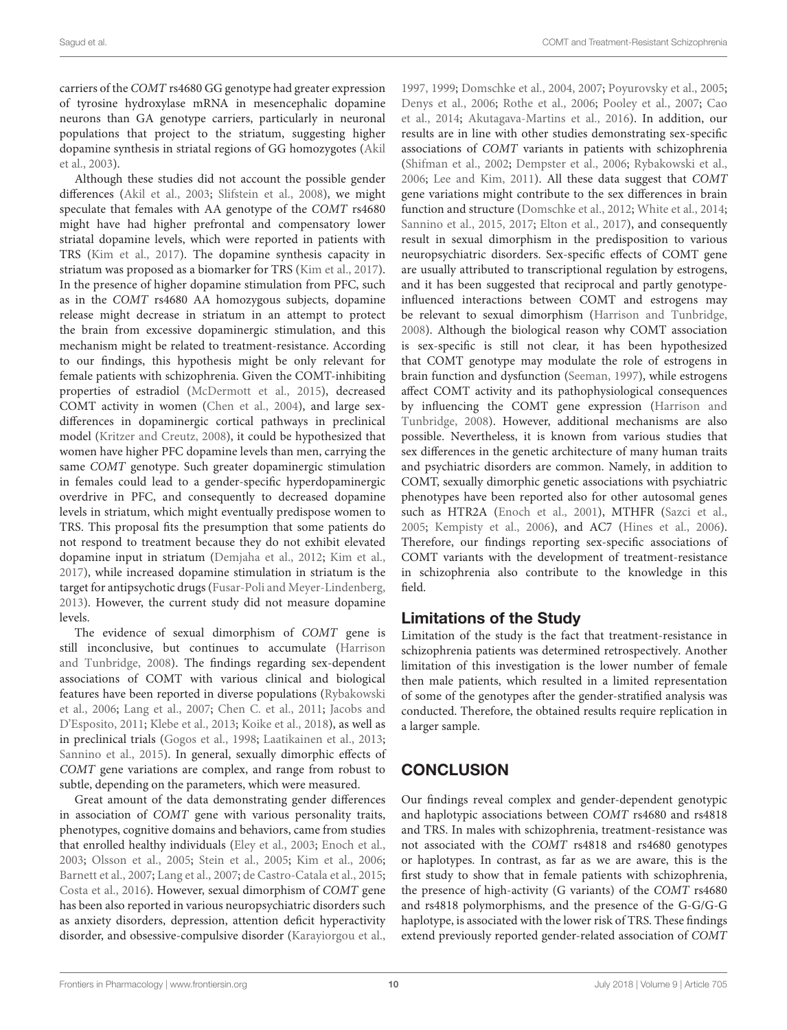carriers of the COMT rs4680 GG genotype had greater expression of tyrosine hydroxylase mRNA in mesencephalic dopamine neurons than GA genotype carriers, particularly in neuronal populations that project to the striatum, suggesting higher dopamine synthesis in striatal regions of GG homozygotes [\(Akil](#page-10-13) [et al.,](#page-10-13) [2003\)](#page-10-13).

Although these studies did not account the possible gender differences [\(Akil et al.,](#page-10-13) [2003;](#page-10-13) [Slifstein et al.,](#page-13-20) [2008\)](#page-13-20), we might speculate that females with AA genotype of the COMT rs4680 might have had higher prefrontal and compensatory lower striatal dopamine levels, which were reported in patients with TRS [\(Kim et al.,](#page-12-4) [2017\)](#page-12-4). The dopamine synthesis capacity in striatum was proposed as a biomarker for TRS [\(Kim et al.,](#page-12-4) [2017\)](#page-12-4). In the presence of higher dopamine stimulation from PFC, such as in the COMT rs4680 AA homozygous subjects, dopamine release might decrease in striatum in an attempt to protect the brain from excessive dopaminergic stimulation, and this mechanism might be related to treatment-resistance. According to our findings, this hypothesis might be only relevant for female patients with schizophrenia. Given the COMT-inhibiting properties of estradiol [\(McDermott et al.,](#page-12-20) [2015\)](#page-12-20), decreased COMT activity in women [\(Chen et al.,](#page-10-1) [2004\)](#page-10-1), and large sexdifferences in dopaminergic cortical pathways in preclinical model [\(Kritzer and Creutz,](#page-12-21) [2008\)](#page-12-21), it could be hypothesized that women have higher PFC dopamine levels than men, carrying the same COMT genotype. Such greater dopaminergic stimulation in females could lead to a gender-specific hyperdopaminergic overdrive in PFC, and consequently to decreased dopamine levels in striatum, which might eventually predispose women to TRS. This proposal fits the presumption that some patients do not respond to treatment because they do not exhibit elevated dopamine input in striatum [\(Demjaha et al.,](#page-11-21) [2012;](#page-11-21) [Kim et al.,](#page-12-4) [2017\)](#page-12-4), while increased dopamine stimulation in striatum is the target for antipsychotic drugs [\(Fusar-Poli and Meyer-Lindenberg,](#page-11-20) [2013\)](#page-11-20). However, the current study did not measure dopamine levels.

The evidence of sexual dimorphism of COMT gene is still inconclusive, but continues to accumulate [\(Harrison](#page-11-22) [and Tunbridge,](#page-11-22) [2008\)](#page-11-22). The findings regarding sex-dependent associations of COMT with various clinical and biological features have been reported in diverse populations [\(Rybakowski](#page-13-23) [et al.,](#page-13-23) [2006;](#page-13-23) [Lang et al.,](#page-12-22) [2007;](#page-12-22) [Chen C. et al.,](#page-10-14) [2011;](#page-10-14) [Jacobs and](#page-12-23) [D'Esposito,](#page-12-23) [2011;](#page-12-23) [Klebe et al.,](#page-12-24) [2013;](#page-12-24) [Koike et al.,](#page-12-25) [2018\)](#page-12-25), as well as in preclinical trials [\(Gogos et al.,](#page-11-23) [1998;](#page-11-23) [Laatikainen et al.,](#page-12-26) [2013;](#page-12-26) [Sannino et al.,](#page-13-24) [2015\)](#page-13-24). In general, sexually dimorphic effects of COMT gene variations are complex, and range from robust to subtle, depending on the parameters, which were measured.

Great amount of the data demonstrating gender differences in association of COMT gene with various personality traits, phenotypes, cognitive domains and behaviors, came from studies that enrolled healthy individuals [\(Eley et al.,](#page-11-24) [2003;](#page-11-24) [Enoch et al.,](#page-11-25) [2003;](#page-11-25) [Olsson et al.,](#page-12-27) [2005;](#page-12-27) [Stein et al.,](#page-13-25) [2005;](#page-13-25) [Kim et al.,](#page-12-28) [2006;](#page-12-28) [Barnett et al.,](#page-10-15) [2007;](#page-10-15) [Lang et al.,](#page-12-22) [2007;](#page-12-22) [de Castro-Catala et al.,](#page-10-16) [2015;](#page-10-16) [Costa et al.,](#page-10-17) [2016\)](#page-10-17). However, sexual dimorphism of COMT gene has been also reported in various neuropsychiatric disorders such as anxiety disorders, depression, attention deficit hyperactivity disorder, and obsessive-compulsive disorder [\(Karayiorgou et al.,](#page-12-29)

[1997,](#page-12-29) [1999;](#page-12-30) [Domschke et al.,](#page-11-26) [2004,](#page-11-26) [2007;](#page-11-27) [Poyurovsky et al.,](#page-12-31) [2005;](#page-12-31) [Denys et al.,](#page-11-28) [2006;](#page-11-28) [Rothe et al.,](#page-13-26) [2006;](#page-13-26) [Pooley et al.,](#page-12-32) [2007;](#page-12-32) [Cao](#page-10-18) [et al.,](#page-10-18) [2014;](#page-10-18) [Akutagava-Martins et al.,](#page-10-19) [2016\)](#page-10-19). In addition, our results are in line with other studies demonstrating sex-specific associations of COMT variants in patients with schizophrenia [\(Shifman et al.,](#page-13-27) [2002;](#page-13-27) [Dempster et al.,](#page-11-29) [2006;](#page-11-29) [Rybakowski et al.,](#page-13-23) [2006;](#page-13-23) [Lee and Kim,](#page-12-33) [2011\)](#page-12-33). All these data suggest that COMT gene variations might contribute to the sex differences in brain function and structure [\(Domschke et al.,](#page-11-30) [2012;](#page-11-30) [White et al.,](#page-13-28) [2014;](#page-13-28) [Sannino et al.,](#page-13-24) [2015,](#page-13-24) [2017;](#page-13-29) [Elton et al.,](#page-11-31) [2017\)](#page-11-31), and consequently result in sexual dimorphism in the predisposition to various neuropsychiatric disorders. Sex-specific effects of COMT gene are usually attributed to transcriptional regulation by estrogens, and it has been suggested that reciprocal and partly genotypeinfluenced interactions between COMT and estrogens may be relevant to sexual dimorphism [\(Harrison and Tunbridge,](#page-11-22) [2008\)](#page-11-22). Although the biological reason why COMT association is sex-specific is still not clear, it has been hypothesized that COMT genotype may modulate the role of estrogens in brain function and dysfunction [\(Seeman,](#page-13-30) [1997\)](#page-13-30), while estrogens affect COMT activity and its pathophysiological consequences by influencing the COMT gene expression [\(Harrison and](#page-11-22) [Tunbridge,](#page-11-22) [2008\)](#page-11-22). However, additional mechanisms are also possible. Nevertheless, it is known from various studies that sex differences in the genetic architecture of many human traits and psychiatric disorders are common. Namely, in addition to COMT, sexually dimorphic genetic associations with psychiatric phenotypes have been reported also for other autosomal genes such as HTR2A [\(Enoch et al.,](#page-11-32) [2001\)](#page-11-32), MTHFR [\(Sazci et al.,](#page-13-31) [2005;](#page-13-31) [Kempisty et al.,](#page-12-34) [2006\)](#page-12-34), and AC7 [\(Hines et al.,](#page-11-33) [2006\)](#page-11-33). Therefore, our findings reporting sex-specific associations of COMT variants with the development of treatment-resistance in schizophrenia also contribute to the knowledge in this field.

### Limitations of the Study

Limitation of the study is the fact that treatment-resistance in schizophrenia patients was determined retrospectively. Another limitation of this investigation is the lower number of female then male patients, which resulted in a limited representation of some of the genotypes after the gender-stratified analysis was conducted. Therefore, the obtained results require replication in a larger sample.

# **CONCLUSION**

Our findings reveal complex and gender-dependent genotypic and haplotypic associations between COMT rs4680 and rs4818 and TRS. In males with schizophrenia, treatment-resistance was not associated with the COMT rs4818 and rs4680 genotypes or haplotypes. In contrast, as far as we are aware, this is the first study to show that in female patients with schizophrenia, the presence of high-activity (G variants) of the COMT rs4680 and rs4818 polymorphisms, and the presence of the G-G/G-G haplotype, is associated with the lower risk of TRS. These findings extend previously reported gender-related association of COMT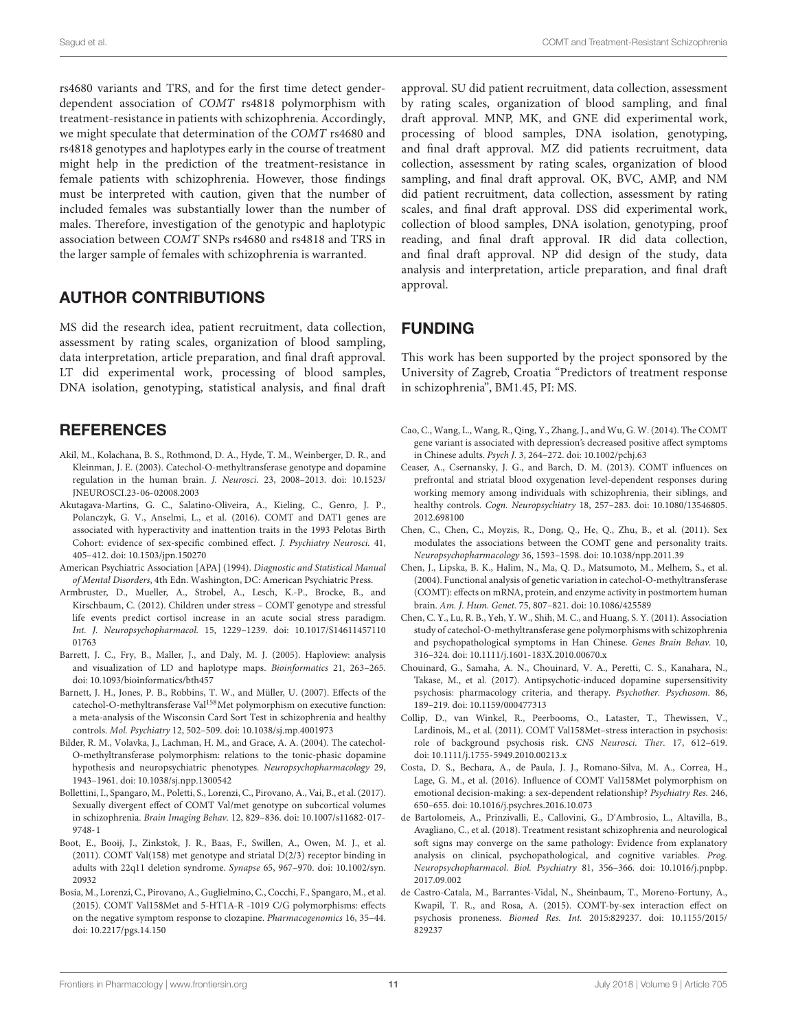rs4680 variants and TRS, and for the first time detect genderdependent association of COMT rs4818 polymorphism with treatment-resistance in patients with schizophrenia. Accordingly, we might speculate that determination of the COMT rs4680 and rs4818 genotypes and haplotypes early in the course of treatment might help in the prediction of the treatment-resistance in female patients with schizophrenia. However, those findings must be interpreted with caution, given that the number of included females was substantially lower than the number of males. Therefore, investigation of the genotypic and haplotypic association between COMT SNPs rs4680 and rs4818 and TRS in the larger sample of females with schizophrenia is warranted.

## AUTHOR CONTRIBUTIONS

MS did the research idea, patient recruitment, data collection, assessment by rating scales, organization of blood sampling, data interpretation, article preparation, and final draft approval. LT did experimental work, processing of blood samples, DNA isolation, genotyping, statistical analysis, and final draft

## **REFERENCES**

- <span id="page-10-13"></span>Akil, M., Kolachana, B. S., Rothmond, D. A., Hyde, T. M., Weinberger, D. R., and Kleinman, J. E. (2003). Catechol-O-methyltransferase genotype and dopamine regulation in the human brain. J. Neurosci. 23, 2008–2013. [doi: 10.1523/](https://doi.org/10.1523/JNEUROSCI.23-06-02008.2003) [JNEUROSCI.23-06-02008.2003](https://doi.org/10.1523/JNEUROSCI.23-06-02008.2003)
- <span id="page-10-19"></span>Akutagava-Martins, G. C., Salatino-Oliveira, A., Kieling, C., Genro, J. P., Polanczyk, G. V., Anselmi, L., et al. (2016). COMT and DAT1 genes are associated with hyperactivity and inattention traits in the 1993 Pelotas Birth Cohort: evidence of sex-specific combined effect. J. Psychiatry Neurosci. 41, 405–412. [doi: 10.1503/jpn.150270](https://doi.org/10.1503/jpn.150270)
- <span id="page-10-4"></span>American Psychiatric Association [APA] (1994). Diagnostic and Statistical Manual of Mental Disorders, 4th Edn. Washington, DC: American Psychiatric Press.
- <span id="page-10-10"></span>Armbruster, D., Mueller, A., Strobel, A., Lesch, K.-P., Brocke, B., and Kirschbaum, C. (2012). Children under stress – COMT genotype and stressful life events predict cortisol increase in an acute social stress paradigm. Int. J. Neuropsychopharmacol. 15, 1229–1239. [doi: 10.1017/S14611457110](https://doi.org/10.1017/S1461145711001763) [01763](https://doi.org/10.1017/S1461145711001763)
- <span id="page-10-5"></span>Barrett, J. C., Fry, B., Maller, J., and Daly, M. J. (2005). Haploview: analysis and visualization of LD and haplotype maps. Bioinformatics 21, 263–265. [doi: 10.1093/bioinformatics/bth457](https://doi.org/10.1093/bioinformatics/bth457)
- <span id="page-10-15"></span>Barnett, J. H., Jones, P. B., Robbins, T. W., and Müller, U. (2007). Effects of the catechol-O-methyltransferase Val<sup>158</sup>Met polymorphism on executive function: a meta-analysis of the Wisconsin Card Sort Test in schizophrenia and healthy controls. Mol. Psychiatry 12, 502–509. [doi: 10.1038/sj.mp.4001973](https://doi.org/10.1038/sj.mp.4001973)
- <span id="page-10-0"></span>Bilder, R. M., Volavka, J., Lachman, H. M., and Grace, A. A. (2004). The catechol-O-methyltransferase polymorphism: relations to the tonic-phasic dopamine hypothesis and neuropsychiatric phenotypes. Neuropsychopharmacology 29, 1943–1961. [doi: 10.1038/sj.npp.1300542](https://doi.org/10.1038/sj.npp.1300542)
- <span id="page-10-8"></span>Bollettini, I., Spangaro, M., Poletti, S., Lorenzi, C., Pirovano, A., Vai, B., et al. (2017). Sexually divergent effect of COMT Val/met genotype on subcortical volumes in schizophrenia. Brain Imaging Behav. 12, 829–836. [doi: 10.1007/s11682-017-](https://doi.org/10.1007/s11682-017-9748-1) [9748-1](https://doi.org/10.1007/s11682-017-9748-1)
- <span id="page-10-11"></span>Boot, E., Booij, J., Zinkstok, J. R., Baas, F., Swillen, A., Owen, M. J., et al. (2011). COMT Val(158) met genotype and striatal D(2/3) receptor binding in adults with 22q11 deletion syndrome. Synapse 65, 967–970. [doi: 10.1002/syn.](https://doi.org/10.1002/syn.20932) [20932](https://doi.org/10.1002/syn.20932)
- <span id="page-10-3"></span>Bosia, M., Lorenzi, C., Pirovano, A., Guglielmino, C., Cocchi, F., Spangaro, M., et al. (2015). COMT Val158Met and 5-HT1A-R -1019 C/G polymorphisms: effects on the negative symptom response to clozapine. Pharmacogenomics 16, 35–44. [doi: 10.2217/pgs.14.150](https://doi.org/10.2217/pgs.14.150)

approval. SU did patient recruitment, data collection, assessment by rating scales, organization of blood sampling, and final draft approval. MNP, MK, and GNE did experimental work, processing of blood samples, DNA isolation, genotyping, and final draft approval. MZ did patients recruitment, data collection, assessment by rating scales, organization of blood sampling, and final draft approval. OK, BVC, AMP, and NM did patient recruitment, data collection, assessment by rating scales, and final draft approval. DSS did experimental work, collection of blood samples, DNA isolation, genotyping, proof reading, and final draft approval. IR did data collection, and final draft approval. NP did design of the study, data analysis and interpretation, article preparation, and final draft approval.

### FUNDING

This work has been supported by the project sponsored by the University of Zagreb, Croatia "Predictors of treatment response in schizophrenia", BM1.45, PI: MS.

- <span id="page-10-18"></span>Cao, C., Wang, L., Wang, R., Qing, Y., Zhang, J., and Wu, G. W. (2014). The COMT gene variant is associated with depression's decreased positive affect symptoms in Chinese adults. Psych J. 3, 264–272. [doi: 10.1002/pchj.63](https://doi.org/10.1002/pchj.63)
- <span id="page-10-12"></span>Ceaser, A., Csernansky, J. G., and Barch, D. M. (2013). COMT influences on prefrontal and striatal blood oxygenation level-dependent responses during working memory among individuals with schizophrenia, their siblings, and healthy controls. Cogn. Neuropsychiatry 18, 257–283. [doi: 10.1080/13546805.](https://doi.org/10.1080/13546805.2012.698100) [2012.698100](https://doi.org/10.1080/13546805.2012.698100)
- <span id="page-10-14"></span>Chen, C., Chen, C., Moyzis, R., Dong, Q., He, Q., Zhu, B., et al. (2011). Sex modulates the associations between the COMT gene and personality traits. Neuropsychopharmacology 36, 1593–1598. [doi: 10.1038/npp.2011.39](https://doi.org/10.1038/npp.2011.39)
- <span id="page-10-1"></span>Chen, J., Lipska, B. K., Halim, N., Ma, Q. D., Matsumoto, M., Melhem, S., et al. (2004). Functional analysis of genetic variation in catechol-O-methyltransferase (COMT): effects on mRNA, protein, and enzyme activity in postmortem human brain. Am. J. Hum. Genet. 75, 807–821. [doi: 10.1086/425589](https://doi.org/10.1086/425589)
- <span id="page-10-2"></span>Chen, C. Y., Lu, R. B., Yeh, Y. W., Shih, M. C., and Huang, S. Y. (2011). Association study of catechol-O-methyltransferase gene polymorphisms with schizophrenia and psychopathological symptoms in Han Chinese. Genes Brain Behav. 10, 316–324. [doi: 10.1111/j.1601-183X.2010.00670.x](https://doi.org/10.1111/j.1601-183X.2010.00670.x)
- <span id="page-10-7"></span>Chouinard, G., Samaha, A. N., Chouinard, V. A., Peretti, C. S., Kanahara, N., Takase, M., et al. (2017). Antipsychotic-induced dopamine supersensitivity psychosis: pharmacology criteria, and therapy. Psychother. Psychosom. 86, 189–219. [doi: 10.1159/000477313](https://doi.org/10.1159/000477313)
- <span id="page-10-9"></span>Collip, D., van Winkel, R., Peerbooms, O., Lataster, T., Thewissen, V., Lardinois, M., et al. (2011). COMT Val158Met–stress interaction in psychosis: role of background psychosis risk. CNS Neurosci. Ther. 17, 612–619. [doi: 10.1111/j.1755-5949.2010.00213.x](https://doi.org/10.1111/j.1755-5949.2010.00213.x)
- <span id="page-10-17"></span>Costa, D. S., Bechara, A., de Paula, J. J., Romano-Silva, M. A., Correa, H., Lage, G. M., et al. (2016). Influence of COMT Val158Met polymorphism on emotional decision-making: a sex-dependent relationship? Psychiatry Res. 246, 650–655. [doi: 10.1016/j.psychres.2016.10.073](https://doi.org/10.1016/j.psychres.2016.10.073)
- <span id="page-10-6"></span>de Bartolomeis, A., Prinzivalli, E., Callovini, G., D'Ambrosio, L., Altavilla, B., Avagliano, C., et al. (2018). Treatment resistant schizophrenia and neurological soft signs may converge on the same pathology: Evidence from explanatory analysis on clinical, psychopathological, and cognitive variables. Prog. Neuropsychopharmacol. Biol. Psychiatry 81, 356–366. [doi: 10.1016/j.pnpbp.](https://doi.org/10.1016/j.pnpbp.2017.09.002) [2017.09.002](https://doi.org/10.1016/j.pnpbp.2017.09.002)
- <span id="page-10-16"></span>de Castro-Catala, M., Barrantes-Vidal, N., Sheinbaum, T., Moreno-Fortuny, A., Kwapil, T. R., and Rosa, A. (2015). COMT-by-sex interaction effect on psychosis proneness. Biomed Res. Int. 2015:829237. [doi: 10.1155/2015/](https://doi.org/10.1155/2015/829237) [829237](https://doi.org/10.1155/2015/829237)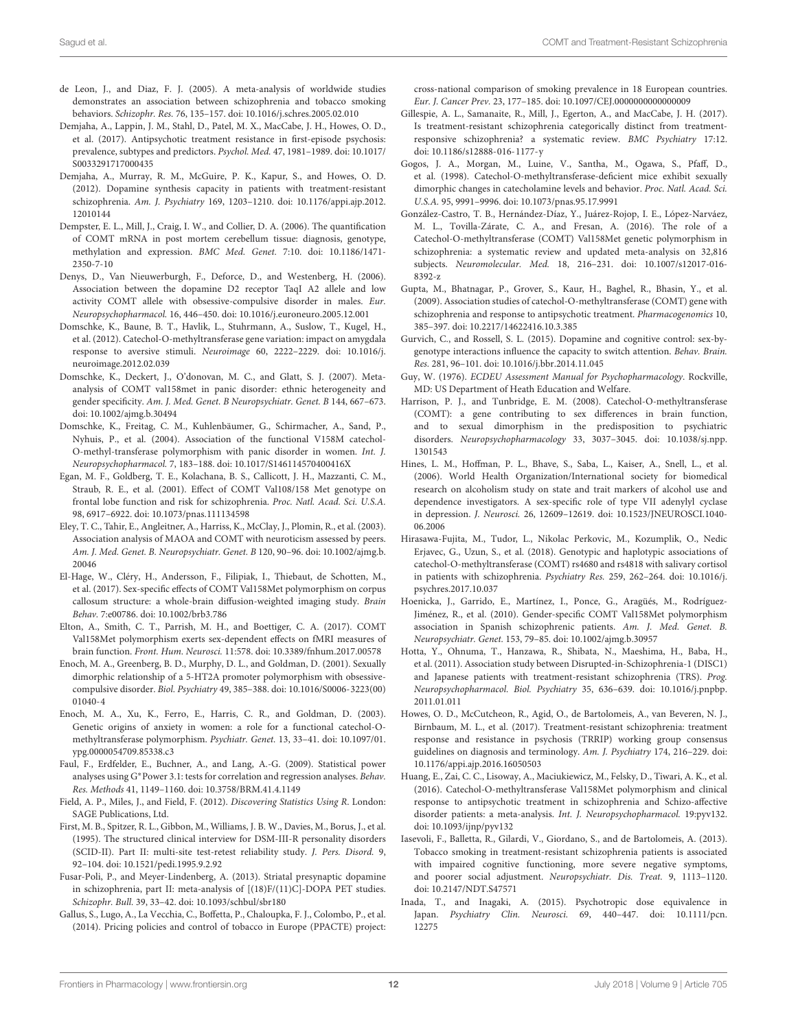- <span id="page-11-16"></span>de Leon, J., and Diaz, F. J. (2005). A meta-analysis of worldwide studies demonstrates an association between schizophrenia and tobacco smoking behaviors. Schizophr. Res. 76, 135–157. [doi: 10.1016/j.schres.2005.02.010](https://doi.org/10.1016/j.schres.2005.02.010)
- <span id="page-11-0"></span>Demjaha, A., Lappin, J. M., Stahl, D., Patel, M. X., MacCabe, J. H., Howes, O. D., et al. (2017). Antipsychotic treatment resistance in first-episode psychosis: prevalence, subtypes and predictors. Psychol. Med. 47, 1981–1989. [doi: 10.1017/](https://doi.org/10.1017/S0033291717000435) [S0033291717000435](https://doi.org/10.1017/S0033291717000435)
- <span id="page-11-21"></span>Demjaha, A., Murray, R. M., McGuire, P. K., Kapur, S., and Howes, O. D. (2012). Dopamine synthesis capacity in patients with treatment-resistant schizophrenia. Am. J. Psychiatry 169, 1203–1210. [doi: 10.1176/appi.ajp.2012.](https://doi.org/10.1176/appi.ajp.2012.12010144) [12010144](https://doi.org/10.1176/appi.ajp.2012.12010144)
- <span id="page-11-29"></span>Dempster, E. L., Mill, J., Craig, I. W., and Collier, D. A. (2006). The quantification of COMT mRNA in post mortem cerebellum tissue: diagnosis, genotype, methylation and expression. BMC Med. Genet. 7:10. [doi: 10.1186/1471-](https://doi.org/10.1186/1471-2350-7-10) [2350-7-10](https://doi.org/10.1186/1471-2350-7-10)
- <span id="page-11-28"></span>Denys, D., Van Nieuwerburgh, F., Deforce, D., and Westenberg, H. (2006). Association between the dopamine D2 receptor TaqI A2 allele and low activity COMT allele with obsessive-compulsive disorder in males. Eur. Neuropsychopharmacol. 16, 446–450. [doi: 10.1016/j.euroneuro.2005.12.001](https://doi.org/10.1016/j.euroneuro.2005.12.001)
- <span id="page-11-30"></span>Domschke, K., Baune, B. T., Havlik, L., Stuhrmann, A., Suslow, T., Kugel, H., et al. (2012). Catechol-O-methyltransferase gene variation: impact on amygdala response to aversive stimuli. Neuroimage 60, 2222–2229. [doi: 10.1016/j.](https://doi.org/10.1016/j.neuroimage.2012.02.039) [neuroimage.2012.02.039](https://doi.org/10.1016/j.neuroimage.2012.02.039)
- <span id="page-11-27"></span>Domschke, K., Deckert, J., O'donovan, M. C., and Glatt, S. J. (2007). Metaanalysis of COMT val158met in panic disorder: ethnic heterogeneity and gender specificity. Am. J. Med. Genet. B Neuropsychiatr. Genet. B 144, 667–673. [doi: 10.1002/ajmg.b.30494](https://doi.org/10.1002/ajmg.b.30494)
- <span id="page-11-26"></span>Domschke, K., Freitag, C. M., Kuhlenbäumer, G., Schirmacher, A., Sand, P., Nyhuis, P., et al. (2004). Association of the functional V158M catechol-O-methyl-transferase polymorphism with panic disorder in women. Int. J. Neuropsychopharmacol. 7, 183–188. [doi: 10.1017/S146114570400416X](https://doi.org/10.1017/S146114570400416X)
- <span id="page-11-3"></span>Egan, M. F., Goldberg, T. E., Kolachana, B. S., Callicott, J. H., Mazzanti, C. M., Straub, R. E., et al. (2001). Effect of COMT Val108/158 Met genotype on frontal lobe function and risk for schizophrenia. Proc. Natl. Acad. Sci. U.S.A. 98, 6917–6922. [doi: 10.1073/pnas.111134598](https://doi.org/10.1073/pnas.111134598)
- <span id="page-11-24"></span>Eley, T. C., Tahir, E., Angleitner, A., Harriss, K., McClay, J., Plomin, R., et al. (2003). Association analysis of MAOA and COMT with neuroticism assessed by peers. Am. J. Med. Genet. B. Neuropsychiatr. Genet. B 120, 90–96. [doi: 10.1002/ajmg.b.](https://doi.org/10.1002/ajmg.b.20046) [20046](https://doi.org/10.1002/ajmg.b.20046)
- <span id="page-11-19"></span>El-Hage, W., Cléry, H., Andersson, F., Filipiak, I., Thiebaut, de Schotten, M., et al. (2017). Sex-specific effects of COMT Val158Met polymorphism on corpus callosum structure: a whole-brain diffusion-weighted imaging study. Brain Behav. 7:e00786. [doi: 10.1002/brb3.786](https://doi.org/10.1002/brb3.786)
- <span id="page-11-31"></span>Elton, A., Smith, C. T., Parrish, M. H., and Boettiger, C. A. (2017). COMT Val158Met polymorphism exerts sex-dependent effects on fMRI measures of brain function. Front. Hum. Neurosci. 11:578. [doi: 10.3389/fnhum.2017.00578](https://doi.org/10.3389/fnhum.2017.00578)
- <span id="page-11-32"></span>Enoch, M. A., Greenberg, B. D., Murphy, D. L., and Goldman, D. (2001). Sexually dimorphic relationship of a 5-HT2A promoter polymorphism with obsessivecompulsive disorder. Biol. Psychiatry 49, 385–388. [doi: 10.1016/S0006-3223\(00\)](https://doi.org/10.1016/S0006-3223(00)01040-4) [01040-4](https://doi.org/10.1016/S0006-3223(00)01040-4)
- <span id="page-11-25"></span>Enoch, M. A., Xu, K., Ferro, E., Harris, C. R., and Goldman, D. (2003). Genetic origins of anxiety in women: a role for a functional catechol-Omethyltransferase polymorphism. Psychiatr. Genet. 13, 33–41. [doi: 10.1097/01.](https://doi.org/10.1097/01.ypg.0000054709.85338.c3) [ypg.0000054709.85338.c3](https://doi.org/10.1097/01.ypg.0000054709.85338.c3)
- <span id="page-11-13"></span>Faul, F., Erdfelder, E., Buchner, A., and Lang, A.-G. (2009). Statistical power analyses using G∗Power 3.1: tests for correlation and regression analyses. Behav. Res. Methods 41, 1149–1160. [doi: 10.3758/BRM.41.4.1149](https://doi.org/10.3758/BRM.41.4.1149)
- <span id="page-11-12"></span>Field, A. P., Miles, J., and Field, F. (2012). Discovering Statistics Using R. London: SAGE Publications, Ltd.
- <span id="page-11-9"></span>First, M. B., Spitzer, R. L., Gibbon, M., Williams, J. B. W., Davies, M., Borus, J., et al. (1995). The structured clinical interview for DSM-III-R personality disorders (SCID-II). Part II: multi-site test-retest reliability study. J. Pers. Disord. 9, 92–104. [doi: 10.1521/pedi.1995.9.2.92](https://doi.org/10.1521/pedi.1995.9.2.92)
- <span id="page-11-20"></span>Fusar-Poli, P., and Meyer-Lindenberg, A. (2013). Striatal presynaptic dopamine in schizophrenia, part II: meta-analysis of [(18)F/(11)C]-DOPA PET studies. Schizophr. Bull. 39, 33–42. [doi: 10.1093/schbul/sbr180](https://doi.org/10.1093/schbul/sbr180)
- <span id="page-11-15"></span>Gallus, S., Lugo, A., La Vecchia, C., Boffetta, P., Chaloupka, F. J., Colombo, P., et al. (2014). Pricing policies and control of tobacco in Europe (PPACTE) project:

cross-national comparison of smoking prevalence in 18 European countries. Eur. J. Cancer Prev. 23, 177–185. [doi: 10.1097/CEJ.0000000000000009](https://doi.org/10.1097/CEJ.0000000000000009)

- <span id="page-11-2"></span>Gillespie, A. L., Samanaite, R., Mill, J., Egerton, A., and MacCabe, J. H. (2017). Is treatment-resistant schizophrenia categorically distinct from treatmentresponsive schizophrenia? a systematic review. BMC Psychiatry 17:12. [doi: 10.1186/s12888-016-1177-y](https://doi.org/10.1186/s12888-016-1177-y)
- <span id="page-11-23"></span>Gogos, J. A., Morgan, M., Luine, V., Santha, M., Ogawa, S., Pfaff, D., et al. (1998). Catechol-O-methyltransferase-deficient mice exhibit sexually dimorphic changes in catecholamine levels and behavior. Proc. Natl. Acad. Sci. U.S.A. 95, 9991–9996. [doi: 10.1073/pnas.95.17.9991](https://doi.org/10.1073/pnas.95.17.9991)
- <span id="page-11-4"></span>González-Castro, T. B., Hernández-Díaz, Y., Juárez-Rojop, I. E., López-Narváez, M. L., Tovilla-Zárate, C. A., and Fresan, A. (2016). The role of a Catechol-O-methyltransferase (COMT) Val158Met genetic polymorphism in schizophrenia: a systematic review and updated meta-analysis on 32,816 subjects. Neuromolecular. Med. 18, 216–231. [doi: 10.1007/s12017-016-](https://doi.org/10.1007/s12017-016-8392-z) [8392-z](https://doi.org/10.1007/s12017-016-8392-z)
- <span id="page-11-8"></span>Gupta, M., Bhatnagar, P., Grover, S., Kaur, H., Baghel, R., Bhasin, Y., et al. (2009). Association studies of catechol-O-methyltransferase (COMT) gene with schizophrenia and response to antipsychotic treatment. Pharmacogenomics 10, 385–397. [doi: 10.2217/14622416.10.3.385](https://doi.org/10.2217/14622416.10.3.385)
- <span id="page-11-18"></span>Gurvich, C., and Rossell, S. L. (2015). Dopamine and cognitive control: sex-bygenotype interactions influence the capacity to switch attention. Behav. Brain. Res. 281, 96–101. [doi: 10.1016/j.bbr.2014.11.045](https://doi.org/10.1016/j.bbr.2014.11.045)
- <span id="page-11-10"></span>Guy, W. (1976). ECDEU Assessment Manual for Psychopharmacology. Rockville, MD: US Department of Heath Education and Welfare.
- <span id="page-11-22"></span>Harrison, P. J., and Tunbridge, E. M. (2008). Catechol-O-methyltransferase (COMT): a gene contributing to sex differences in brain function, and to sexual dimorphism in the predisposition to psychiatric disorders. Neuropsychopharmacology 33, 3037–3045. [doi: 10.1038/sj.npp.](https://doi.org/10.1038/sj.npp.1301543) [1301543](https://doi.org/10.1038/sj.npp.1301543)
- <span id="page-11-33"></span>Hines, L. M., Hoffman, P. L., Bhave, S., Saba, L., Kaiser, A., Snell, L., et al. (2006). World Health Organization/International society for biomedical research on alcoholism study on state and trait markers of alcohol use and dependence investigators. A sex-specific role of type VII adenylyl cyclase in depression. J. Neurosci. 26, 12609–12619. [doi: 10.1523/JNEUROSCI.1040-](https://doi.org/10.1523/JNEUROSCI.1040-06.2006) [06.2006](https://doi.org/10.1523/JNEUROSCI.1040-06.2006)
- <span id="page-11-5"></span>Hirasawa-Fujita, M., Tudor, L., Nikolac Perkovic, M., Kozumplik, O., Nedic Erjavec, G., Uzun, S., et al. (2018). Genotypic and haplotypic associations of catechol-O-methyltransferase (COMT) rs4680 and rs4818 with salivary cortisol in patients with schizophrenia. Psychiatry Res. 259, 262–264. [doi: 10.1016/j.](https://doi.org/10.1016/j.psychres.2017.10.037) [psychres.2017.10.037](https://doi.org/10.1016/j.psychres.2017.10.037)
- <span id="page-11-7"></span>Hoenicka, J., Garrido, E., Martínez, I., Ponce, G., Aragüés, M., Rodríguez-Jiménez, R., et al. (2010). Gender-specific COMT Val158Met polymorphism association in Spanish schizophrenic patients. Am. J. Med. Genet. B. Neuropsychiatr. Genet. 153, 79–85. [doi: 10.1002/ajmg.b.30957](https://doi.org/10.1002/ajmg.b.30957)
- <span id="page-11-14"></span>Hotta, Y., Ohnuma, T., Hanzawa, R., Shibata, N., Maeshima, H., Baba, H., et al. (2011). Association study between Disrupted-in-Schizophrenia-1 (DISC1) and Japanese patients with treatment-resistant schizophrenia (TRS). Prog. Neuropsychopharmacol. Biol. Psychiatry 35, 636–639. [doi: 10.1016/j.pnpbp.](https://doi.org/10.1016/j.pnpbp.2011.01.011) [2011.01.011](https://doi.org/10.1016/j.pnpbp.2011.01.011)
- <span id="page-11-1"></span>Howes, O. D., McCutcheon, R., Agid, O., de Bartolomeis, A., van Beveren, N. J., Birnbaum, M. L., et al. (2017). Treatment-resistant schizophrenia: treatment response and resistance in psychosis (TRRIP) working group consensus guidelines on diagnosis and terminology. Am. J. Psychiatry 174, 216–229. [doi:](https://doi.org/10.1176/appi.ajp.2016.16050503) [10.1176/appi.ajp.2016.16050503](https://doi.org/10.1176/appi.ajp.2016.16050503)
- <span id="page-11-6"></span>Huang, E., Zai, C. C., Lisoway, A., Maciukiewicz, M., Felsky, D., Tiwari, A. K., et al. (2016). Catechol-O-methyltransferase Val158Met polymorphism and clinical response to antipsychotic treatment in schizophrenia and Schizo-affective disorder patients: a meta-analysis. Int. J. Neuropsychopharmacol. 19:pyv132. [doi: 10.1093/ijnp/pyv132](https://doi.org/10.1093/ijnp/pyv132)
- <span id="page-11-17"></span>Iasevoli, F., Balletta, R., Gilardi, V., Giordano, S., and de Bartolomeis, A. (2013). Tobacco smoking in treatment-resistant schizophrenia patients is associated with impaired cognitive functioning, more severe negative symptoms, and poorer social adjustment. Neuropsychiatr. Dis. Treat. 9, 1113–1120. [doi: 10.2147/NDT.S47571](https://doi.org/10.2147/NDT.S47571)
- <span id="page-11-11"></span>Inada, T., and Inagaki, A. (2015). Psychotropic dose equivalence in Japan. Psychiatry Clin. Neurosci. 69, 440–447. [doi: 10.1111/pcn.](https://doi.org/10.1111/pcn.12275) [12275](https://doi.org/10.1111/pcn.12275)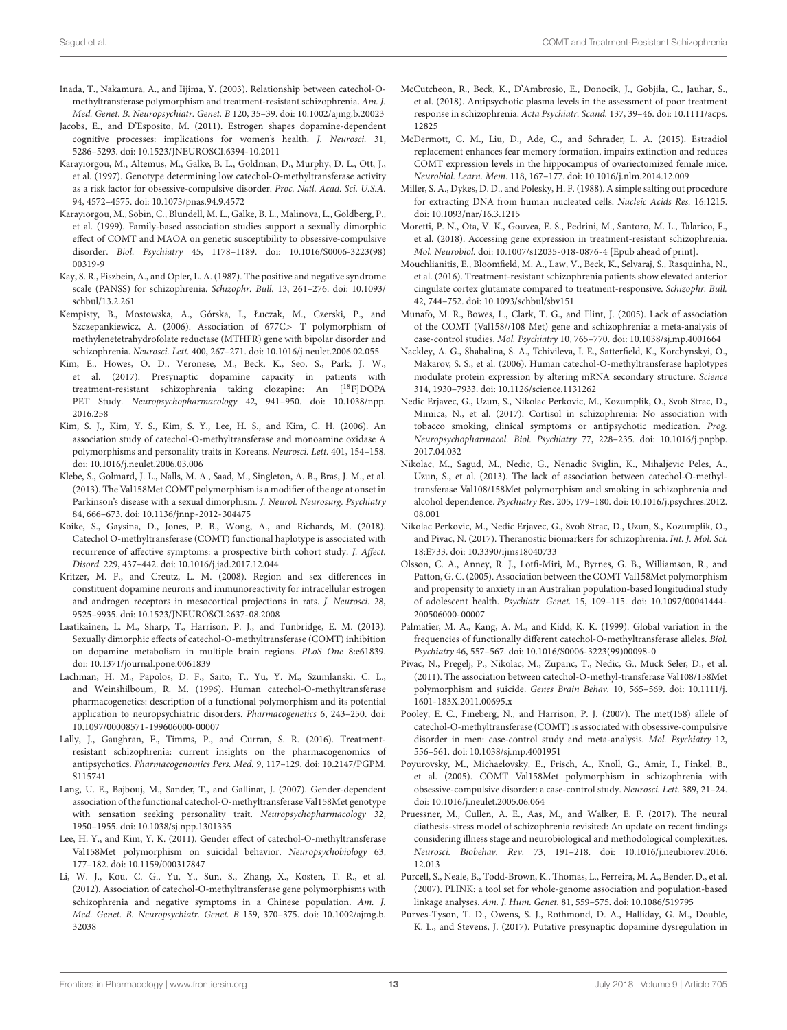- <span id="page-12-12"></span>Inada, T., Nakamura, A., and Iijima, Y. (2003). Relationship between catechol-Omethyltransferase polymorphism and treatment-resistant schizophrenia. Am. J. Med. Genet. B. Neuropsychiatr. Genet. B 120, 35–39. [doi: 10.1002/ajmg.b.20023](https://doi.org/10.1002/ajmg.b.20023)
- <span id="page-12-23"></span>Jacobs, E., and D'Esposito, M. (2011). Estrogen shapes dopamine-dependent cognitive processes: implications for women's health. J. Neurosci. 31, 5286–5293. [doi: 10.1523/JNEUROSCI.6394-10.2011](https://doi.org/10.1523/JNEUROSCI.6394-10.2011)
- <span id="page-12-29"></span>Karayiorgou, M., Altemus, M., Galke, B. L., Goldman, D., Murphy, D. L., Ott, J., et al. (1997). Genotype determining low catechol-O-methyltransferase activity as a risk factor for obsessive-compulsive disorder. Proc. Natl. Acad. Sci. U.S.A. 94, 4572–4575. [doi: 10.1073/pnas.94.9.4572](https://doi.org/10.1073/pnas.94.9.4572)
- <span id="page-12-30"></span>Karayiorgou, M., Sobin, C., Blundell, M. L., Galke, B. L., Malinova, L., Goldberg, P., et al. (1999). Family-based association studies support a sexually dimorphic effect of COMT and MAOA on genetic susceptibility to obsessive-compulsive disorder. Biol. Psychiatry 45, 1178–1189. [doi: 10.1016/S0006-3223\(98\)](https://doi.org/10.1016/S0006-3223(98)00319-9) [00319-9](https://doi.org/10.1016/S0006-3223(98)00319-9)
- <span id="page-12-15"></span>Kay, S. R., Fiszbein, A., and Opler, L. A. (1987). The positive and negative syndrome scale (PANSS) for schizophrenia. Schizophr. Bull. 13, 261–276. [doi: 10.1093/](https://doi.org/10.1093/schbul/13.2.261) [schbul/13.2.261](https://doi.org/10.1093/schbul/13.2.261)
- <span id="page-12-34"></span>Kempisty, B., Mostowska, A., Górska, I., Łuczak, M., Czerski, P., and Szczepankiewicz, A. (2006). Association of 677C> T polymorphism of methylenetetrahydrofolate reductase (MTHFR) gene with bipolar disorder and schizophrenia. Neurosci. Lett. 400, 267–271. [doi: 10.1016/j.neulet.2006.02.055](https://doi.org/10.1016/j.neulet.2006.02.055)
- <span id="page-12-4"></span>Kim, E., Howes, O. D., Veronese, M., Beck, K., Seo, S., Park, J. W., et al. (2017). Presynaptic dopamine capacity in patients with treatment-resistant schizophrenia taking clozapine: An [18F]DOPA PET Study. Neuropsychopharmacology 42, 941–950. [doi: 10.1038/npp.](https://doi.org/10.1038/npp.2016.258) [2016.258](https://doi.org/10.1038/npp.2016.258)
- <span id="page-12-28"></span>Kim, S. J., Kim, Y. S., Kim, S. Y., Lee, H. S., and Kim, C. H. (2006). An association study of catechol-O-methyltransferase and monoamine oxidase A polymorphisms and personality traits in Koreans. Neurosci. Lett. 401, 154–158. [doi: 10.1016/j.neulet.2006.03.006](https://doi.org/10.1016/j.neulet.2006.03.006)
- <span id="page-12-24"></span>Klebe, S., Golmard, J. L., Nalls, M. A., Saad, M., Singleton, A. B., Bras, J. M., et al. (2013). The Val158Met COMT polymorphism is a modifier of the age at onset in Parkinson's disease with a sexual dimorphism. J. Neurol. Neurosurg. Psychiatry 84, 666–673. [doi: 10.1136/jnnp-2012-304475](https://doi.org/10.1136/jnnp-2012-304475)
- <span id="page-12-25"></span>Koike, S., Gaysina, D., Jones, P. B., Wong, A., and Richards, M. (2018). Catechol O-methyltransferase (COMT) functional haplotype is associated with recurrence of affective symptoms: a prospective birth cohort study. J. Affect. Disord. 229, 437–442. [doi: 10.1016/j.jad.2017.12.044](https://doi.org/10.1016/j.jad.2017.12.044)
- <span id="page-12-21"></span>Kritzer, M. F., and Creutz, L. M. (2008). Region and sex differences in constituent dopamine neurons and immunoreactivity for intracellular estrogen and androgen receptors in mesocortical projections in rats. J. Neurosci. 28, 9525–9935. [doi: 10.1523/JNEUROSCI.2637-08.2008](https://doi.org/10.1523/JNEUROSCI.2637-08.2008)
- <span id="page-12-26"></span>Laatikainen, L. M., Sharp, T., Harrison, P. J., and Tunbridge, E. M. (2013). Sexually dimorphic effects of catechol-O-methyltransferase (COMT) inhibition on dopamine metabolism in multiple brain regions. PLoS One 8:e61839. [doi: 10.1371/journal.pone.0061839](https://doi.org/10.1371/journal.pone.0061839)
- <span id="page-12-6"></span>Lachman, H. M., Papolos, D. F., Saito, T., Yu, Y. M., Szumlanski, C. L., and Weinshilboum, R. M. (1996). Human catechol-O-methyltransferase pharmacogenetics: description of a functional polymorphism and its potential application to neuropsychiatric disorders. Pharmacogenetics 6, 243–250. [doi:](https://doi.org/10.1097/00008571-199606000-00007) [10.1097/00008571-199606000-00007](https://doi.org/10.1097/00008571-199606000-00007)
- <span id="page-12-0"></span>Lally, J., Gaughran, F., Timms, P., and Curran, S. R. (2016). Treatmentresistant schizophrenia: current insights on the pharmacogenomics of antipsychotics. Pharmacogenomics Pers. Med. 9, 117–129. [doi: 10.2147/PGPM.](https://doi.org/10.2147/PGPM.S115741) [S115741](https://doi.org/10.2147/PGPM.S115741)
- <span id="page-12-22"></span>Lang, U. E., Bajbouj, M., Sander, T., and Gallinat, J. (2007). Gender-dependent association of the functional catechol-O-methyltransferase Val158Met genotype with sensation seeking personality trait. Neuropsychopharmacology 32, 1950–1955. [doi: 10.1038/sj.npp.1301335](https://doi.org/10.1038/sj.npp.1301335)
- <span id="page-12-33"></span>Lee, H. Y., and Kim, Y. K. (2011). Gender effect of catechol-O-methyltransferase Val158Met polymorphism on suicidal behavior. Neuropsychobiology 63, 177–182. [doi: 10.1159/000317847](https://doi.org/10.1159/000317847)
- <span id="page-12-10"></span>Li, W. J., Kou, C. G., Yu, Y., Sun, S., Zhang, X., Kosten, T. R., et al. (2012). Association of catechol-O-methyltransferase gene polymorphisms with schizophrenia and negative symptoms in a Chinese population. Am. J. Med. Genet. B. Neuropsychiatr. Genet. B 159, 370–375. [doi: 10.1002/ajmg.b.](https://doi.org/10.1002/ajmg.b.32038) [32038](https://doi.org/10.1002/ajmg.b.32038)
- <span id="page-12-18"></span>McCutcheon, R., Beck, K., D'Ambrosio, E., Donocik, J., Gobjila, C., Jauhar, S., et al. (2018). Antipsychotic plasma levels in the assessment of poor treatment response in schizophrenia. Acta Psychiatr. Scand. 137, 39–46. [doi: 10.1111/acps.](https://doi.org/10.1111/acps.12825) [12825](https://doi.org/10.1111/acps.12825)
- <span id="page-12-20"></span>McDermott, C. M., Liu, D., Ade, C., and Schrader, L. A. (2015). Estradiol replacement enhances fear memory formation, impairs extinction and reduces COMT expression levels in the hippocampus of ovariectomized female mice. Neurobiol. Learn. Mem. 118, 167–177. [doi: 10.1016/j.nlm.2014.12.009](https://doi.org/10.1016/j.nlm.2014.12.009)
- <span id="page-12-16"></span>Miller, S. A., Dykes, D. D., and Polesky, H. F. (1988). A simple salting out procedure for extracting DNA from human nucleated cells. Nucleic Acids Res. 16:1215. [doi: 10.1093/nar/16.3.1215](https://doi.org/10.1093/nar/16.3.1215)
- <span id="page-12-11"></span>Moretti, P. N., Ota, V. K., Gouvea, E. S., Pedrini, M., Santoro, M. L., Talarico, F., et al. (2018). Accessing gene expression in treatment-resistant schizophrenia. Mol. Neurobiol. [doi: 10.1007/s12035-018-0876-4](https://doi.org/10.1007/s12035-018-0876-4) [Epub ahead of print].
- <span id="page-12-19"></span>Mouchlianitis, E., Bloomfield, M. A., Law, V., Beck, K., Selvaraj, S., Rasquinha, N., et al. (2016). Treatment-resistant schizophrenia patients show elevated anterior cingulate cortex glutamate compared to treatment-responsive. Schizophr. Bull. 42, 744–752. [doi: 10.1093/schbul/sbv151](https://doi.org/10.1093/schbul/sbv151)
- <span id="page-12-7"></span>Munafo, M. R., Bowes, L., Clark, T. G., and Flint, J. (2005). Lack of association of the COMT (Val158//108 Met) gene and schizophrenia: a meta-analysis of case-control studies. Mol. Psychiatry 10, 765–770. [doi: 10.1038/sj.mp.4001664](https://doi.org/10.1038/sj.mp.4001664)
- <span id="page-12-9"></span>Nackley, A. G., Shabalina, S. A., Tchivileva, I. E., Satterfield, K., Korchynskyi, O., Makarov, S. S., et al. (2006). Human catechol-O-methyltransferase haplotypes modulate protein expression by altering mRNA secondary structure. Science 314, 1930–7933. [doi: 10.1126/science.1131262](https://doi.org/10.1126/science.1131262)
- <span id="page-12-1"></span>Nedic Erjavec, G., Uzun, S., Nikolac Perkovic, M., Kozumplik, O., Svob Strac, D., Mimica, N., et al. (2017). Cortisol in schizophrenia: No association with tobacco smoking, clinical symptoms or antipsychotic medication. Prog. Neuropsychopharmacol. Biol. Psychiatry 77, 228–235. [doi: 10.1016/j.pnpbp.](https://doi.org/10.1016/j.pnpbp.2017.04.032) [2017.04.032](https://doi.org/10.1016/j.pnpbp.2017.04.032)
- <span id="page-12-8"></span>Nikolac, M., Sagud, M., Nedic, G., Nenadic Sviglin, K., Mihaljevic Peles, A., Uzun, S., et al. (2013). The lack of association between catechol-O-methyltransferase Val108/158Met polymorphism and smoking in schizophrenia and alcohol dependence. Psychiatry Res. 205, 179–180. [doi: 10.1016/j.psychres.2012.](https://doi.org/10.1016/j.psychres.2012.08.001) [08.001](https://doi.org/10.1016/j.psychres.2012.08.001)
- <span id="page-12-2"></span>Nikolac Perkovic, M., Nedic Erjavec, G., Svob Strac, D., Uzun, S., Kozumplik, O., and Pivac, N. (2017). Theranostic biomarkers for schizophrenia. Int. J. Mol. Sci. 18:E733. [doi: 10.3390/ijms18040733](https://doi.org/10.3390/ijms18040733)
- <span id="page-12-27"></span>Olsson, C. A., Anney, R. J., Lotfi-Miri, M., Byrnes, G. B., Williamson, R., and Patton, G. C. (2005). Association between the COMT Val158Met polymorphism and propensity to anxiety in an Australian population-based longitudinal study of adolescent health. Psychiatr. Genet. 15, 109–115. [doi: 10.1097/00041444-](https://doi.org/10.1097/00041444-200506000-00007) [200506000-00007](https://doi.org/10.1097/00041444-200506000-00007)
- <span id="page-12-14"></span>Palmatier, M. A., Kang, A. M., and Kidd, K. K. (1999). Global variation in the frequencies of functionally different catechol-O-methyltransferase alleles. Biol. Psychiatry 46, 557–567. [doi: 10.1016/S0006-3223\(99\)00098-0](https://doi.org/10.1016/S0006-3223(99)00098-0)
- <span id="page-12-13"></span>Pivac, N., Pregelj, P., Nikolac, M., Zupanc, T., Nedic, G., Muck Seler, D., et al. (2011). The association between catechol-O-methyl-transferase Val108/158Met polymorphism and suicide. Genes Brain Behav. 10, 565–569. [doi: 10.1111/j.](https://doi.org/10.1111/j.1601-183X.2011.00695.x) [1601-183X.2011.00695.x](https://doi.org/10.1111/j.1601-183X.2011.00695.x)
- <span id="page-12-32"></span>Pooley, E. C., Fineberg, N., and Harrison, P. J. (2007). The met(158) allele of catechol-O-methyltransferase (COMT) is associated with obsessive-compulsive disorder in men: case-control study and meta-analysis. Mol. Psychiatry 12, 556–561. [doi: 10.1038/sj.mp.4001951](https://doi.org/10.1038/sj.mp.4001951)
- <span id="page-12-31"></span>Poyurovsky, M., Michaelovsky, E., Frisch, A., Knoll, G., Amir, I., Finkel, B., et al. (2005). COMT Val158Met polymorphism in schizophrenia with obsessive-compulsive disorder: a case-control study. Neurosci. Lett. 389, 21–24. [doi: 10.1016/j.neulet.2005.06.064](https://doi.org/10.1016/j.neulet.2005.06.064)
- <span id="page-12-3"></span>Pruessner, M., Cullen, A. E., Aas, M., and Walker, E. F. (2017). The neural diathesis-stress model of schizophrenia revisited: An update on recent findings considering illness stage and neurobiological and methodological complexities. Neurosci. Biobehav. Rev. 73, 191–218. [doi: 10.1016/j.neubiorev.2016.](https://doi.org/10.1016/j.neubiorev.2016.12.013) [12.013](https://doi.org/10.1016/j.neubiorev.2016.12.013)
- <span id="page-12-17"></span>Purcell, S., Neale, B., Todd-Brown, K., Thomas, L., Ferreira, M. A., Bender, D., et al. (2007). PLINK: a tool set for whole-genome association and population-based linkage analyses. Am. J. Hum. Genet. 81, 559–575. [doi: 10.1086/519795](https://doi.org/10.1086/519795)
- <span id="page-12-5"></span>Purves-Tyson, T. D., Owens, S. J., Rothmond, D. A., Halliday, G. M., Double, K. L., and Stevens, J. (2017). Putative presynaptic dopamine dysregulation in